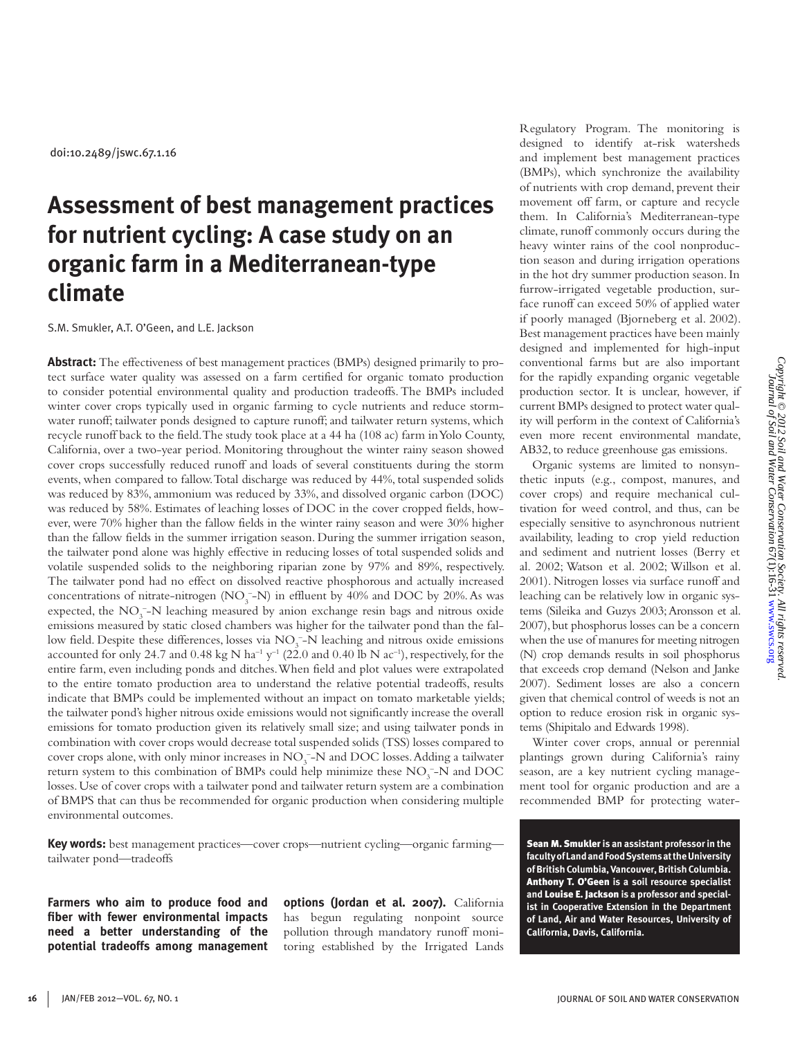# **Assessment of best management practices for nutrient cycling: A case study on an organic farm in a Mediterranean-type climate**

S.M. Smukler, A.T. O'Geen, and L.E. Jackson

**Abstract:** The effectiveness of best management practices (BMPs) designed primarily to protect surface water quality was assessed on a farm certified for organic tomato production to consider potential environmental quality and production tradeoffs. The BMPs included winter cover crops typically used in organic farming to cycle nutrients and reduce stormwater runoff; tailwater ponds designed to capture runoff; and tailwater return systems, which recycle runoff back to the field. The study took place at a 44 ha (108 ac) farm in Yolo County, California, over a two-year period. Monitoring throughout the winter rainy season showed cover crops successfully reduced runoff and loads of several constituents during the storm events, when compared to fallow. Total discharge was reduced by 44%, total suspended solids was reduced by 83%, ammonium was reduced by 33%, and dissolved organic carbon (DOC) was reduced by 58%. Estimates of leaching losses of DOC in the cover cropped fields, however, were 70% higher than the fallow fields in the winter rainy season and were 30% higher than the fallow fields in the summer irrigation season. During the summer irrigation season, the tailwater pond alone was highly effective in reducing losses of total suspended solids and volatile suspended solids to the neighboring riparian zone by 97% and 89%, respectively. The tailwater pond had no effect on dissolved reactive phosphorous and actually increased concentrations of nitrate-nitrogen  $(NO<sub>3</sub> - N)$  in effluent by 40% and DOC by 20%. As was expected, the NO<sub>3</sub><sup>-</sup>-N leaching measured by anion exchange resin bags and nitrous oxide emissions measured by static closed chambers was higher for the tailwater pond than the fallow field. Despite these differences, losses via NO<sub>3</sub>-N leaching and nitrous oxide emissions accounted for only 24.7 and 0.48 kg N ha<sup>-1</sup> y<sup>-1</sup> (22.0 and 0.40 lb N ac<sup>-1</sup>), respectively, for the entire farm, even including ponds and ditches. When field and plot values were extrapolated to the entire tomato production area to understand the relative potential tradeoffs, results indicate that BMPs could be implemented without an impact on tomato marketable yields; the tailwater pond's higher nitrous oxide emissions would not significantly increase the overall emissions for tomato production given its relatively small size; and using tailwater ponds in combination with cover crops would decrease total suspended solids (TSS) losses compared to cover crops alone, with only minor increases in  $NO<sub>3</sub><sup>-</sup>N$  and DOC losses. Adding a tailwater return system to this combination of BMPs could help minimize these  $\rm NO_3^-$ -N and DOC losses. Use of cover crops with a tailwater pond and tailwater return system are a combination of BMPS that can thus be recommended for organic production when considering multiple environmental outcomes.

**Key words:** best management practices—cover crops—nutrient cycling—organic farming tailwater pond—tradeoffs

**Farmers who aim to produce food and fiber with fewer environmental impacts need a better understanding of the potential tradeoffs among management**  **options (Jordan et al. 2007).** California has begun regulating nonpoint source pollution through mandatory runoff monitoring established by the Irrigated Lands Regulatory Program. The monitoring is designed to identify at-risk watersheds and implement best management practices (BMPs), which synchronize the availability of nutrients with crop demand, prevent their movement off farm, or capture and recycle them. In California's Mediterranean-type climate, runoff commonly occurs during the heavy winter rains of the cool nonproduction season and during irrigation operations in the hot dry summer production season. In furrow-irrigated vegetable production, surface runoff can exceed 50% of applied water if poorly managed (Bjorneberg et al. 2002). Best management practices have been mainly designed and implemented for high-input conventional farms but are also important for the rapidly expanding organic vegetable production sector. It is unclear, however, if current BMPs designed to protect water quality will perform in the context of California's even more recent environmental mandate, AB32, to reduce greenhouse gas emissions.

Organic systems are limited to nonsynthetic inputs (e.g., compost, manures, and cover crops) and require mechanical cultivation for weed control, and thus, can be especially sensitive to asynchronous nutrient availability, leading to crop yield reduction and sediment and nutrient losses (Berry et al. 2002; Watson et al. 2002; Willson et al. 2001). Nitrogen losses via surface runoff and leaching can be relatively low in organic systems (Sileika and Guzys 2003; Aronsson et al. 2007), but phosphorus losses can be a concern when the use of manures for meeting nitrogen (N) crop demands results in soil phosphorus that exceeds crop demand (Nelson and Janke 2007). Sediment losses are also a concern given that chemical control of weeds is not an option to reduce erosion risk in organic systems (Shipitalo and Edwards 1998).

Winter cover crops, annual or perennial plantings grown during California's rainy season, are a key nutrient cycling management tool for organic production and are a recommended BMP for protecting water-

Sean M. Smukler **is an assistant professor in the faculty of Land and Food Systems at the University of British Columbia, Vancouver, British Columbia.**  Anthony T. O'Geen **is a soil resource specialist and** Louise E. Jackson **is a professor and specialist in Cooperative Extension in the Department of Land, Air and Water Resources, University of California, Davis, California.**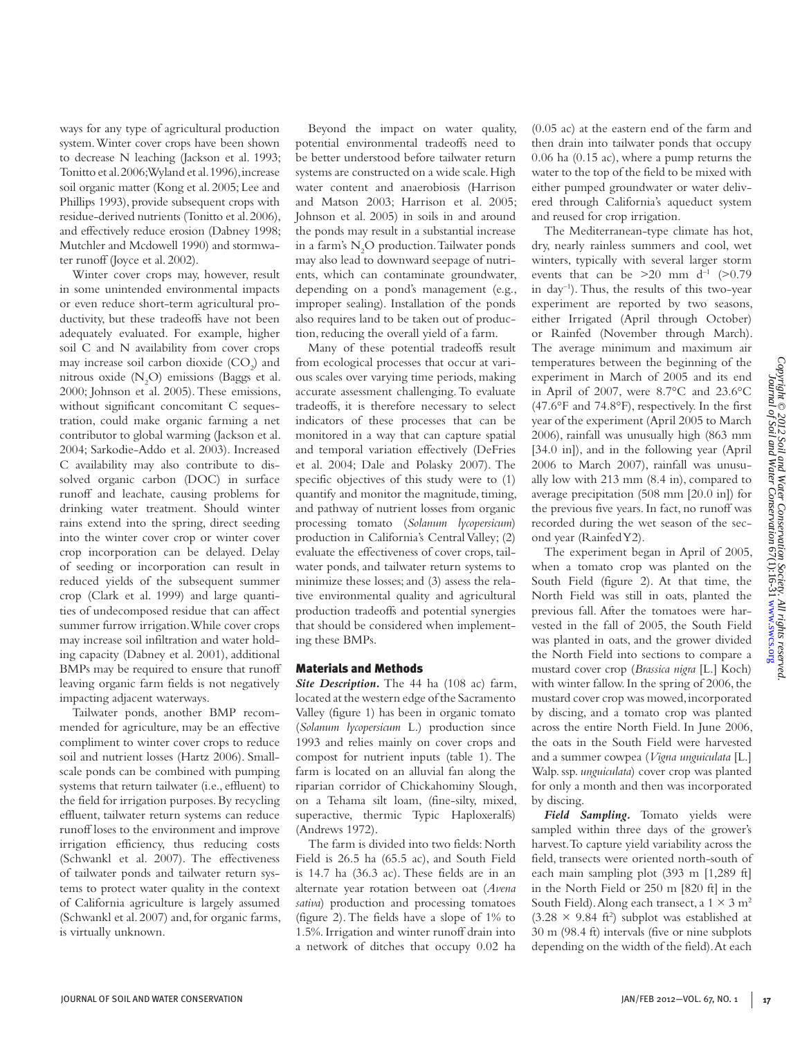ways for any type of agricultural production system. Winter cover crops have been shown to decrease N leaching (Jackson et al. 1993; Tonitto et al. 2006; Wyland et al. 1996), increase soil organic matter (Kong et al. 2005; Lee and Phillips 1993), provide subsequent crops with residue-derived nutrients (Tonitto et al. 2006), and effectively reduce erosion (Dabney 1998; Mutchler and Mcdowell 1990) and stormwater runoff (Joyce et al. 2002).

Winter cover crops may, however, result in some unintended environmental impacts or even reduce short-term agricultural productivity, but these tradeoffs have not been adequately evaluated. For example, higher soil C and N availability from cover crops may increase soil carbon dioxide  $(CO_2)$  and nitrous oxide  $(N_2O)$  emissions (Baggs et al. 2000; Johnson et al. 2005). These emissions, without significant concomitant C sequestration, could make organic farming a net contributor to global warming (Jackson et al. 2004; Sarkodie-Addo et al. 2003). Increased C availability may also contribute to dissolved organic carbon (DOC) in surface runoff and leachate, causing problems for drinking water treatment. Should winter rains extend into the spring, direct seeding into the winter cover crop or winter cover crop incorporation can be delayed. Delay of seeding or incorporation can result in reduced yields of the subsequent summer crop (Clark et al. 1999) and large quantities of undecomposed residue that can affect summer furrow irrigation. While cover crops may increase soil infiltration and water holding capacity (Dabney et al. 2001), additional BMPs may be required to ensure that runoff leaving organic farm fields is not negatively impacting adjacent waterways.

Tailwater ponds, another BMP recommended for agriculture, may be an effective compliment to winter cover crops to reduce soil and nutrient losses (Hartz 2006). Smallscale ponds can be combined with pumping systems that return tailwater (i.e., effluent) to the field for irrigation purposes. By recycling effluent, tailwater return systems can reduce runoff loses to the environment and improve irrigation efficiency, thus reducing costs (Schwankl et al. 2007). The effectiveness of tailwater ponds and tailwater return systems to protect water quality in the context of California agriculture is largely assumed (Schwankl et al. 2007) and, for organic farms, is virtually unknown.

Beyond the impact on water quality, potential environmental tradeoffs need to be better understood before tailwater return systems are constructed on a wide scale. High water content and anaerobiosis (Harrison and Matson 2003; Harrison et al. 2005; Johnson et al. 2005) in soils in and around the ponds may result in a substantial increase in a farm's  $\rm N_2O$  production. Tailwater ponds may also lead to downward seepage of nutrients, which can contaminate groundwater, depending on a pond's management (e.g., improper sealing). Installation of the ponds also requires land to be taken out of production, reducing the overall yield of a farm.

Many of these potential tradeoffs result from ecological processes that occur at various scales over varying time periods, making accurate assessment challenging. To evaluate tradeoffs, it is therefore necessary to select indicators of these processes that can be monitored in a way that can capture spatial and temporal variation effectively (DeFries et al. 2004; Dale and Polasky 2007). The specific objectives of this study were to (1) quantify and monitor the magnitude, timing, and pathway of nutrient losses from organic processing tomato (*Solanum lycopersicum*) production in California's Central Valley; (2) evaluate the effectiveness of cover crops, tailwater ponds, and tailwater return systems to minimize these losses; and (3) assess the relative environmental quality and agricultural production tradeoffs and potential synergies that should be considered when implementing these BMPs.

#### Materials and Methods

*Site Description.* The 44 ha (108 ac) farm, located at the western edge of the Sacramento Valley (figure 1) has been in organic tomato (*Solanum lycopersicum* L.) production since 1993 and relies mainly on cover crops and compost for nutrient inputs (table 1). The farm is located on an alluvial fan along the riparian corridor of Chickahominy Slough, on a Tehama silt loam, (fine-silty, mixed, superactive, thermic Typic Haploxeralfs) (Andrews 1972).

The farm is divided into two fields: North Field is 26.5 ha (65.5 ac), and South Field is 14.7 ha (36.3 ac). These fields are in an alternate year rotation between oat (*Avena sativa*) production and processing tomatoes (figure 2). The fields have a slope of 1% to 1.5%. Irrigation and winter runoff drain into a network of ditches that occupy 0.02 ha

(0.05 ac) at the eastern end of the farm and then drain into tailwater ponds that occupy 0.06 ha (0.15 ac), where a pump returns the water to the top of the field to be mixed with either pumped groundwater or water delivered through California's aqueduct system and reused for crop irrigation.

The Mediterranean-type climate has hot, dry, nearly rainless summers and cool, wet winters, typically with several larger storm events that can be  $>20$  mm d<sup>-1</sup> ( $>0.79$ ) in day–1). Thus, the results of this two-year experiment are reported by two seasons, either Irrigated (April through October) or Rainfed (November through March). The average minimum and maximum air temperatures between the beginning of the experiment in March of 2005 and its end in April of 2007, were 8.7°C and 23.6°C (47.6°F and 74.8°F), respectively. In the first year of the experiment (April 2005 to March 2006), rainfall was unusually high (863 mm [34.0 in]), and in the following year (April 2006 to March 2007), rainfall was unusually low with 213 mm (8.4 in), compared to average precipitation (508 mm [20.0 in]) for the previous five years. In fact, no runoff was recorded during the wet season of the second year (Rainfed Y2).

The experiment began in April of 2005, when a tomato crop was planted on the South Field (figure 2). At that time, the North Field was still in oats, planted the previous fall. After the tomatoes were harvested in the fall of 2005, the South Field was planted in oats, and the grower divided the North Field into sections to compare a mustard cover crop (*Brassica nigra* [L.] Koch) with winter fallow. In the spring of 2006, the mustard cover crop was mowed, incorporated by discing, and a tomato crop was planted across the entire North Field. In June 2006, the oats in the South Field were harvested and a summer cowpea (*Vigna unguiculata* [L.] Walp. ssp. *unguiculata*) cover crop was planted for only a month and then was incorporated by discing.

*Field Sampling.* Tomato yields were sampled within three days of the grower's harvest. To capture yield variability across the field, transects were oriented north-south of each main sampling plot (393 m [1,289 ft] in the North Field or 250 m [820 ft] in the South Field). Along each transect, a  $1 \times 3$  m<sup>2</sup>  $(3.28 \times 9.84 \text{ ft}^2)$  subplot was established at 30 m (98.4 ft) intervals (five or nine subplots depending on the width of the field). At each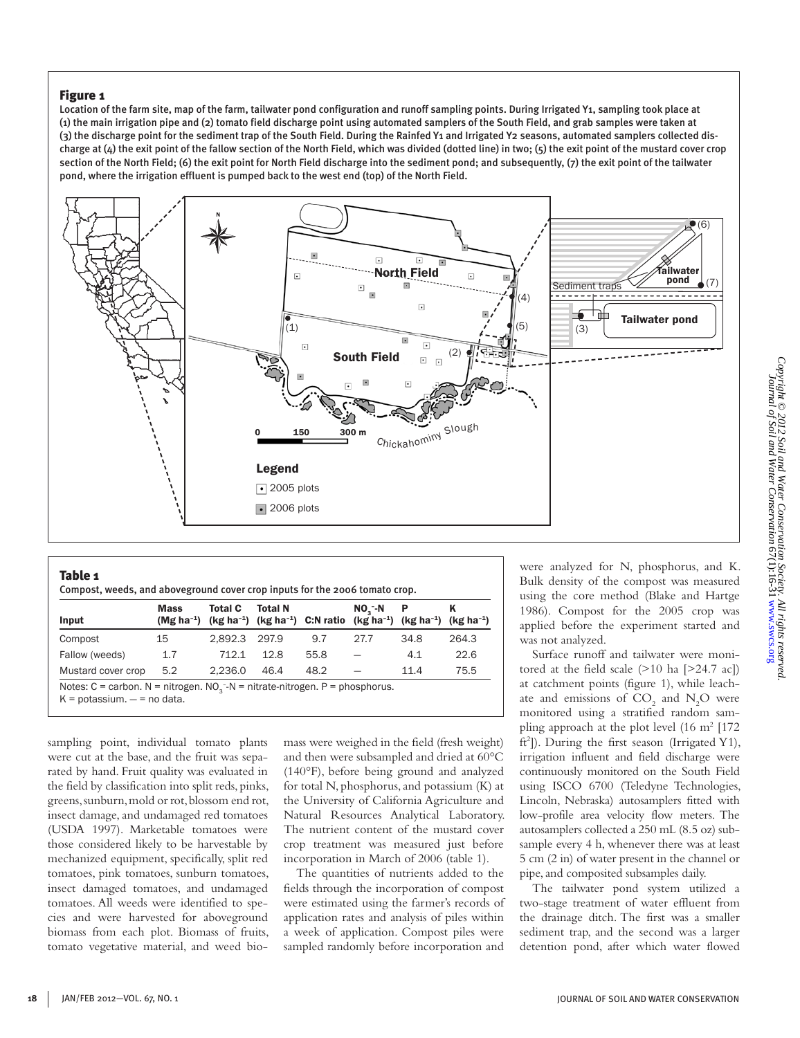Location of the farm site, map of the farm, tailwater pond configuration and runoff sampling points. During Irrigated Y1, sampling took place at (1) the main irrigation pipe and (2) tomato field discharge point using automated samplers of the South Field, and grab samples were taken at (3) the discharge point for the sediment trap of the South Field. During the Rainfed Y1 and Irrigated Y2 seasons, automated samplers collected discharge at  $(4)$  the exit point of the fallow section of the North Field, which was divided (dotted line) in two;  $(5)$  the exit point of the mustard cover crop section of the North Field; (6) the exit point for North Field discharge into the sediment pond; and subsequently, (7) the exit point of the tailwater pond, where the irrigation effluent is pumped back to the west end (top) of the North Field.



| Table 1<br>Compost, weeds, and aboveground cover crop inputs for the 2006 tomato crop. |                                       |         |                |                                   |                          |                  |                     |  |  |
|----------------------------------------------------------------------------------------|---------------------------------------|---------|----------------|-----------------------------------|--------------------------|------------------|---------------------|--|--|
| Input                                                                                  | <b>Mass</b><br>(Mg ha <sup>-1</sup> ) | Total C | <b>Total N</b> | $(kg ha-1)$ $(kg ha-1)$ C:N ratio | $NO2 - N$<br>$(kg ha-1)$ | P<br>$(kg ha-1)$ | κ<br>$(kg ha^{-1})$ |  |  |
| Compost                                                                                | 15                                    | 2.892.3 | 297.9          | 9.7                               | 27.7                     | 34.8             | 264.3               |  |  |
| Fallow (weeds)                                                                         | 1.7                                   | 712.1   | 12.8           | 55.8                              |                          | 4.1              | 22.6                |  |  |
| Mustard cover crop                                                                     | 5.2                                   | 2.236.0 | 46.4           | 48.2                              |                          | 11.4             | 75.5                |  |  |

sampling point, individual tomato plants were cut at the base, and the fruit was separated by hand. Fruit quality was evaluated in the field by classification into split reds, pinks, greens, sunburn, mold or rot, blossom end rot, insect damage, and undamaged red tomatoes (USDA 1997). Marketable tomatoes were those considered likely to be harvestable by mechanized equipment, specifically, split red tomatoes, pink tomatoes, sunburn tomatoes, insect damaged tomatoes, and undamaged tomatoes. All weeds were identified to species and were harvested for aboveground biomass from each plot. Biomass of fruits, tomato vegetative material, and weed biomass were weighed in the field (fresh weight) and then were subsampled and dried at 60°C (140°F), before being ground and analyzed for total N, phosphorus, and potassium (K) at the University of California Agriculture and Natural Resources Analytical Laboratory. The nutrient content of the mustard cover crop treatment was measured just before incorporation in March of 2006 (table 1).

The quantities of nutrients added to the fields through the incorporation of compost were estimated using the farmer's records of application rates and analysis of piles within a week of application. Compost piles were sampled randomly before incorporation and

were analyzed for N, phosphorus, and K. Bulk density of the compost was measured using the core method (Blake and Hartge 1986). Compost for the 2005 crop was applied before the experiment started and was not analyzed.

Surface runoff and tailwater were monitored at the field scale  $(>10 \text{ ha } [>24.7 \text{ ac}])$ at catchment points (figure 1), while leachate and emissions of  $CO_2$  and  $N_2O$  were monitored using a stratified random sampling approach at the plot level (16 m<sup>2</sup> [172] ft<sup>2</sup>]). During the first season (Irrigated Y1), irrigation influent and field discharge were continuously monitored on the South Field using ISCO 6700 (Teledyne Technologies, Lincoln, Nebraska) autosamplers fitted with low-profile area velocity flow meters. The autosamplers collected a 250 mL (8.5 oz) subsample every 4 h, whenever there was at least 5 cm (2 in) of water present in the channel or pipe, and composited subsamples daily.

The tailwater pond system utilized a two-stage treatment of water effluent from the drainage ditch. The first was a smaller sediment trap, and the second was a larger detention pond, after which water flowed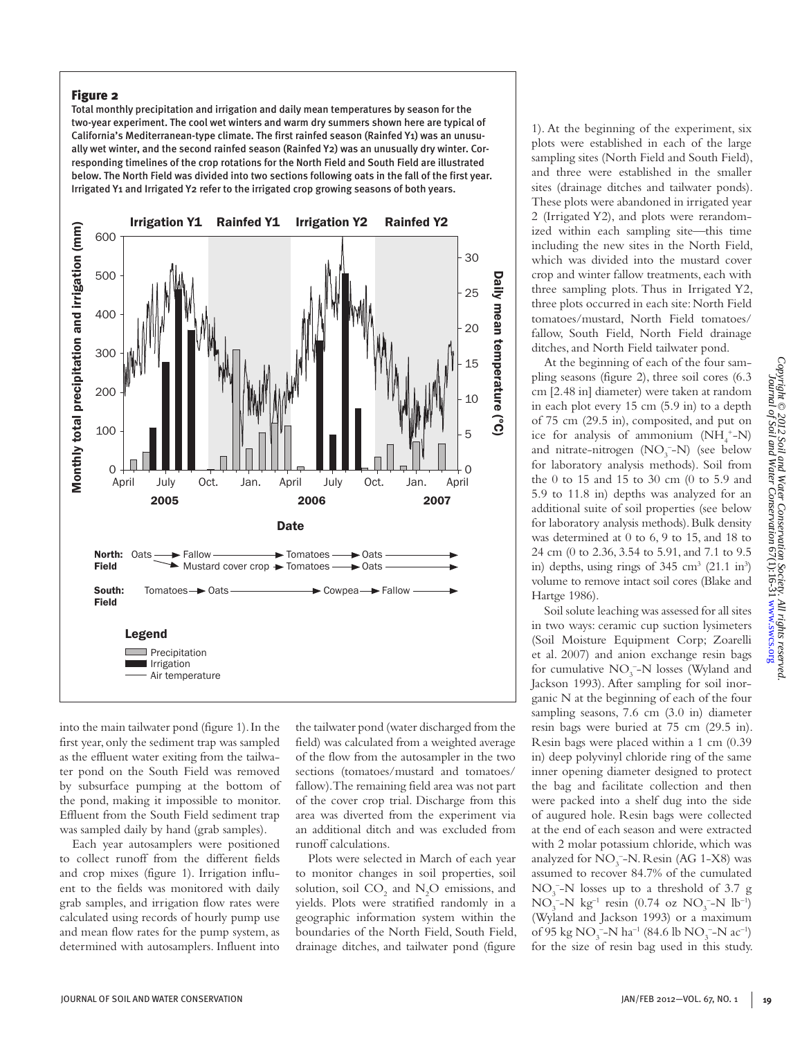Total monthly precipitation and irrigation and daily mean temperatures by season for the two-year experiment. The cool wet winters and warm dry summers shown here are typical of California's Mediterranean-type climate. The first rainfed season (Rainfed Y1) was an unusually wet winter, and the second rainfed season (Rainfed Y2) was an unusually dry winter. Corresponding timelines of the crop rotations for the North Field and South Field are illustrated below. The North Field was divided into two sections following oats in the fall of the first year. Irrigated Y1 and Irrigated Y2 refer to the irrigated crop growing seasons of both years.



into the main tailwater pond (figure 1). In the first year, only the sediment trap was sampled as the effluent water exiting from the tailwater pond on the South Field was removed by subsurface pumping at the bottom of the pond, making it impossible to monitor. Effluent from the South Field sediment trap was sampled daily by hand (grab samples).

Each year autosamplers were positioned to collect runoff from the different fields and crop mixes (figure 1). Irrigation influent to the fields was monitored with daily grab samples, and irrigation flow rates were calculated using records of hourly pump use and mean flow rates for the pump system, as determined with autosamplers. Influent into the tailwater pond (water discharged from the field) was calculated from a weighted average of the flow from the autosampler in the two sections (tomatoes/mustard and tomatoes/ fallow). The remaining field area was not part of the cover crop trial. Discharge from this area was diverted from the experiment via an additional ditch and was excluded from runoff calculations.

Plots were selected in March of each year to monitor changes in soil properties, soil solution, soil  $CO_2$  and  $N_2O$  emissions, and yields. Plots were stratified randomly in a geographic information system within the boundaries of the North Field, South Field, drainage ditches, and tailwater pond (figure

1). At the beginning of the experiment, six plots were established in each of the large sampling sites (North Field and South Field), and three were established in the smaller sites (drainage ditches and tailwater ponds). These plots were abandoned in irrigated year 2 (Irrigated Y2), and plots were rerandomized within each sampling site—this time including the new sites in the North Field, which was divided into the mustard cover crop and winter fallow treatments, each with three sampling plots. Thus in Irrigated Y2, three plots occurred in each site: North Field tomatoes/mustard, North Field tomatoes/ fallow, South Field, North Field drainage ditches, and North Field tailwater pond.

At the beginning of each of the four sampling seasons (figure 2), three soil cores (6.3 cm [2.48 in] diameter) were taken at random in each plot every 15 cm (5.9 in) to a depth of 75 cm (29.5 in), composited, and put on ice for analysis of ammonium  $(NH_4^+$ -N) and nitrate-nitrogen  $(NO<sub>3</sub><sup>-</sup>-N)$  (see below for laboratory analysis methods). Soil from the 0 to 15 and 15 to 30 cm (0 to 5.9 and 5.9 to 11.8 in) depths was analyzed for an additional suite of soil properties (see below for laboratory analysis methods). Bulk density was determined at 0 to 6, 9 to 15, and 18 to 24 cm (0 to 2.36, 3.54 to 5.91, and 7.1 to 9.5 in) depths, using rings of  $345 \text{ cm}^3$  (21.1 in<sup>3</sup>) volume to remove intact soil cores (Blake and Hartge 1986).

Soil solute leaching was assessed for all sites in two ways: ceramic cup suction lysimeters (Soil Moisture Equipment Corp; Zoarelli et al. 2007) and anion exchange resin bags for cumulative  $NO_3^-$ -N losses (Wyland and Jackson 1993). After sampling for soil inorganic N at the beginning of each of the four sampling seasons, 7.6 cm (3.0 in) diameter resin bags were buried at 75 cm (29.5 in). Resin bags were placed within a 1 cm (0.39 in) deep polyvinyl chloride ring of the same inner opening diameter designed to protect the bag and facilitate collection and then were packed into a shelf dug into the side of augured hole. Resin bags were collected at the end of each season and were extracted with 2 molar potassium chloride, which was analyzed for  $NO<sub>3</sub>^-$ -N. Resin (AG 1-X8) was assumed to recover 84.7% of the cumulated  $NO<sub>3</sub><sup>-</sup>-N$  losses up to a threshold of 3.7 g  $NO_3^- - N$  kg<sup>-1</sup> resin (0.74 oz  $NO_3^- - N$  lb<sup>-1</sup>) (Wyland and Jackson 1993) or a maximum of 95 kg NO<sub>3</sub><sup>-</sup>-N ha<sup>-1</sup> (84.6 lb NO<sub>3</sub><sup>-</sup>-N ac<sup>-1</sup>) for the size of resin bag used in this study.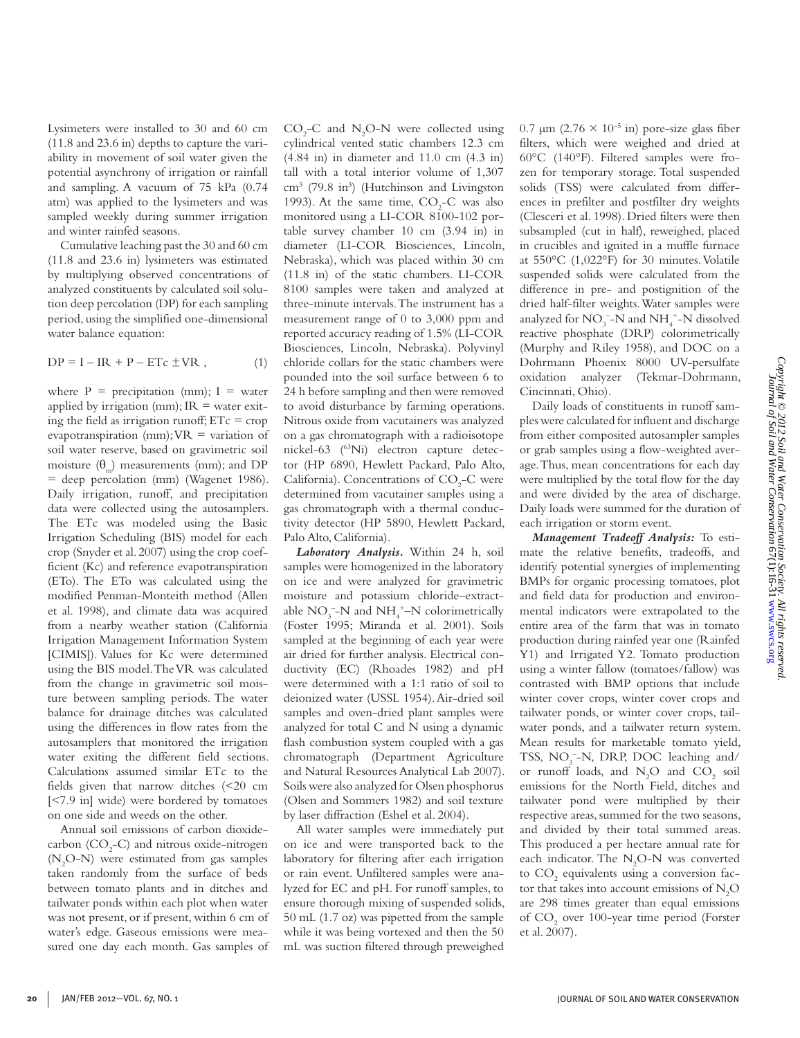Lysimeters were installed to 30 and 60 cm (11.8 and 23.6 in) depths to capture the variability in movement of soil water given the potential asynchrony of irrigation or rainfall and sampling. A vacuum of 75 kPa (0.74 atm) was applied to the lysimeters and was sampled weekly during summer irrigation and winter rainfed seasons.

Cumulative leaching past the 30 and 60 cm (11.8 and 23.6 in) lysimeters was estimated by multiplying observed concentrations of analyzed constituents by calculated soil solution deep percolation (DP) for each sampling period, using the simplified one-dimensional water balance equation:

$$
DP = I - IR + P - ETc \pm VR , \qquad (1)
$$

where  $P =$  precipitation (mm);  $I =$  water applied by irrigation (mm);  $IR =$  water exiting the field as irrigation runoff;  $ETc = crop$ evapotranspiration (mm);  $VR =$  variation of soil water reserve, based on gravimetric soil moisture  $(\theta_m)$  measurements (mm); and DP = deep percolation (mm) (Wagenet 1986). Daily irrigation, runoff, and precipitation data were collected using the autosamplers. The ETc was modeled using the Basic Irrigation Scheduling (BIS) model for each crop (Snyder et al. 2007) using the crop coefficient (Kc) and reference evapotranspiration (ETo). The ETo was calculated using the modified Penman-Monteith method (Allen et al. 1998), and climate data was acquired from a nearby weather station (California Irrigation Management Information System [CIMIS]). Values for Kc were determined using the BIS model. The VR was calculated from the change in gravimetric soil moisture between sampling periods. The water balance for drainage ditches was calculated using the differences in flow rates from the autosamplers that monitored the irrigation water exiting the different field sections. Calculations assumed similar ETc to the fields given that narrow ditches (<20 cm [<7.9 in] wide) were bordered by tomatoes on one side and weeds on the other.

Annual soil emissions of carbon dioxidecarbon  $(CO_2-C)$  and nitrous oxide-nitrogen (N2 O-N) were estimated from gas samples taken randomly from the surface of beds between tomato plants and in ditches and tailwater ponds within each plot when water was not present, or if present, within 6 cm of water's edge. Gaseous emissions were measured one day each month. Gas samples of

 $CO<sub>2</sub>-C$  and N<sub>2</sub>O-N were collected using cylindrical vented static chambers 12.3 cm (4.84 in) in diameter and 11.0 cm (4.3 in) tall with a total interior volume of 1,307 cm<sup>3</sup> (79.8 in<sup>3</sup>) (Hutchinson and Livingston 1993). At the same time,  $CO<sub>2</sub>-C$  was also monitored using a LI-COR 8100-102 portable survey chamber 10 cm (3.94 in) in diameter (LI-COR Biosciences, Lincoln, Nebraska), which was placed within 30 cm (11.8 in) of the static chambers. LI-COR 8100 samples were taken and analyzed at three-minute intervals. The instrument has a measurement range of 0 to 3,000 ppm and reported accuracy reading of 1.5% (LI-COR Biosciences, Lincoln, Nebraska). Polyvinyl chloride collars for the static chambers were pounded into the soil surface between 6 to 24 h before sampling and then were removed to avoid disturbance by farming operations. Nitrous oxide from vacutainers was analyzed on a gas chromatograph with a radioisotope nickel-63 (63Ni) electron capture detector (HP 6890, Hewlett Packard, Palo Alto, California). Concentrations of  $CO<sub>2</sub>-C$  were determined from vacutainer samples using a gas chromatograph with a thermal conductivity detector (HP 5890, Hewlett Packard, Palo Alto, California).

*Laboratory Analysis.* Within 24 h, soil samples were homogenized in the laboratory on ice and were analyzed for gravimetric moisture and potassium chloride–extractable  $NO_3^-$ -N and  $NH_4^+$ -N colorimetrically (Foster 1995; Miranda et al. 2001). Soils sampled at the beginning of each year were air dried for further analysis. Electrical conductivity (EC) (Rhoades 1982) and pH were determined with a 1:1 ratio of soil to deionized water (USSL 1954). Air-dried soil samples and oven-dried plant samples were analyzed for total C and N using a dynamic flash combustion system coupled with a gas chromatograph (Department Agriculture and Natural Resources Analytical Lab 2007). Soils were also analyzed for Olsen phosphorus (Olsen and Sommers 1982) and soil texture by laser diffraction (Eshel et al. 2004).

All water samples were immediately put on ice and were transported back to the laboratory for filtering after each irrigation or rain event. Unfiltered samples were analyzed for EC and pH. For runoff samples, to ensure thorough mixing of suspended solids, 50 mL (1.7 oz) was pipetted from the sample while it was being vortexed and then the 50 mL was suction filtered through preweighed

0.7 μm (2.76  $\times$  10<sup>-5</sup> in) pore-size glass fiber filters, which were weighed and dried at 60°C (140°F). Filtered samples were frozen for temporary storage. Total suspended solids (TSS) were calculated from differences in prefilter and postfilter dry weights (Clesceri et al. 1998). Dried filters were then subsampled (cut in half), reweighed, placed in crucibles and ignited in a muffle furnace at 550°C (1,022°F) for 30 minutes. Volatile suspended solids were calculated from the difference in pre- and postignition of the dried half-filter weights. Water samples were analyzed for  $\rm NO_3^-$ –N and  $\rm NH_4^+$ –N dissolved reactive phosphate (DRP) colorimetrically (Murphy and Riley 1958), and DOC on a Dohrmann Phoenix 8000 UV-persulfate oxidation analyzer (Tekmar-Dohrmann, Cincinnati, Ohio).

Daily loads of constituents in runoff samples were calculated for influent and discharge from either composited autosampler samples or grab samples using a flow-weighted average. Thus, mean concentrations for each day were multiplied by the total flow for the day and were divided by the area of discharge. Daily loads were summed for the duration of each irrigation or storm event.

*Management Tradeoff Analysis:* To estimate the relative benefits, tradeoffs, and identify potential synergies of implementing BMPs for organic processing tomatoes, plot and field data for production and environmental indicators were extrapolated to the entire area of the farm that was in tomato production during rainfed year one (Rainfed Y1) and Irrigated Y2. Tomato production using a winter fallow (tomatoes/fallow) was contrasted with BMP options that include winter cover crops, winter cover crops and tailwater ponds, or winter cover crops, tailwater ponds, and a tailwater return system. Mean results for marketable tomato yield, TSS,  $NO<sub>3</sub><sup>-</sup>-N$ , DRP, DOC leaching and/ or runoff loads, and  $N_2O$  and  $CO_2$  soil emissions for the North Field, ditches and tailwater pond were multiplied by their respective areas, summed for the two seasons, and divided by their total summed areas. This produced a per hectare annual rate for each indicator. The  $N_2O-N$  was converted to  $CO_2$  equivalents using a conversion factor that takes into account emissions of  $\mathrm{N}_2\mathrm{O}$ are 298 times greater than equal emissions of  $CO_2$  over 100-year time period (Forster et al. 2007).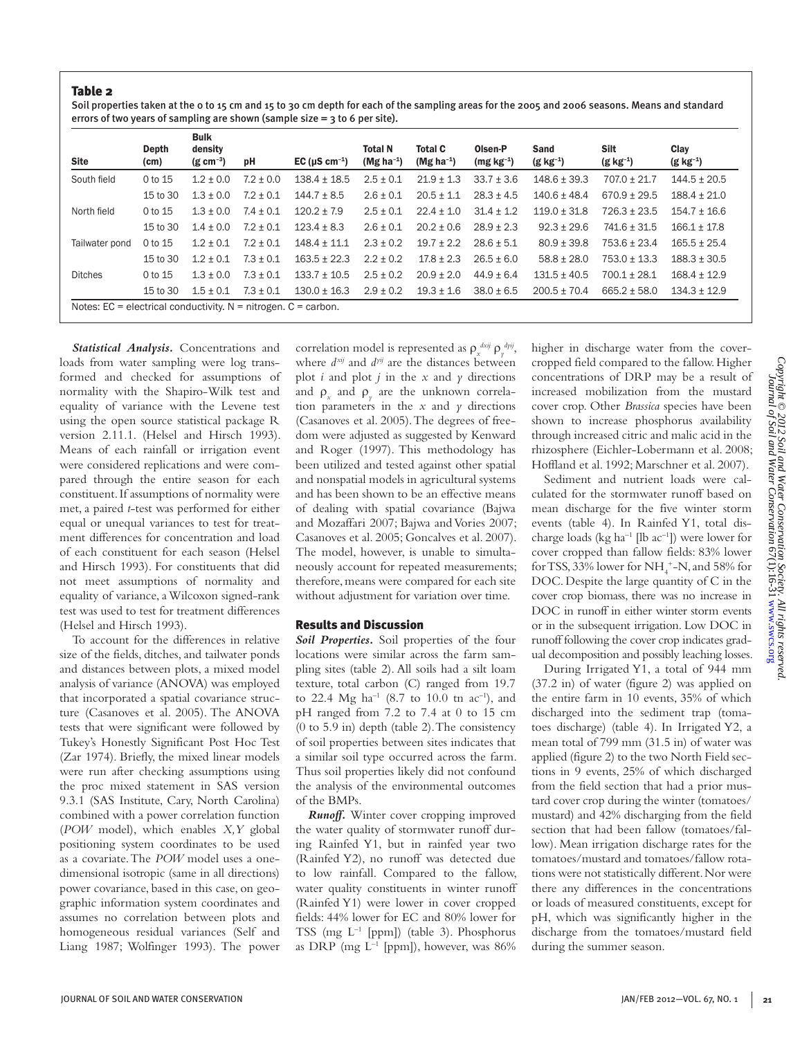Soil properties taken at the 0 to 15 cm and 15 to 30 cm depth for each of the sampling areas for the 2005 and 2006 seasons. Means and standard errors of two years of sampling are shown (sample size = 3 to 6 per site).

| <b>Site</b>                                                        | Depth<br>(cm) | <b>Bulk</b><br>density<br>$(g \text{ cm}^{-3})$ | рH            | EC ( $\mu$ S cm <sup>-1</sup> ) | <b>Total N</b><br>(Mg ha <sup>-1</sup> ) | <b>Total C</b><br>(Mg ha <sup>-1</sup> ) | Olsen-P<br>$(mg kg^{-1})$ | <b>Sand</b><br>$(g kg^{-1})$ | <b>Silt</b><br>$(g kg^{-1})$ | Clav<br>$(g kg^{-1})$ |
|--------------------------------------------------------------------|---------------|-------------------------------------------------|---------------|---------------------------------|------------------------------------------|------------------------------------------|---------------------------|------------------------------|------------------------------|-----------------------|
| South field                                                        | 0 to 15       | $1.2 \pm 0.0$                                   | $7.2 \pm 0.0$ | $138.4 \pm 18.5$                | $2.5 \pm 0.1$                            | $21.9 \pm 1.3$                           | $33.7 \pm 3.6$            | $148.6 + 39.3$               | $707.0 \pm 21.7$             | $144.5 \pm 20.5$      |
|                                                                    | 15 to 30      | $1.3 + 0.0$                                     | $7.2 + 0.1$   | $144.7 + 8.5$                   | $2.6 + 0.1$                              | $20.5 + 1.1$                             | $28.3 + 4.5$              | $140.6 + 48.4$               | $670.9 \pm 29.5$             | $188.4 + 21.0$        |
| North field                                                        | 0 to 15       | $1.3 + 0.0$                                     | $7.4 + 0.1$   | $120.2 + 7.9$                   | $2.5 + 0.1$                              | $22.4 \pm 1.0$                           | $31.4 \pm 1.2$            | $119.0 + 31.8$               | $726.3 \pm 23.5$             | $154.7 + 16.6$        |
|                                                                    | 15 to 30      | $1.4 + 0.0$                                     | $7.2 + 0.1$   | $123.4 + 8.3$                   | $2.6 + 0.1$                              | $20.2 + 0.6$                             | $28.9 + 2.3$              | $92.3 + 29.6$                | $741.6 + 31.5$               | $166.1 + 17.8$        |
| Tailwater pond                                                     | 0 to 15       | $1.2 \pm 0.1$                                   | $7.2 \pm 0.1$ | $148.4 \pm 11.1$                | $2.3 \pm 0.2$                            | $19.7 + 2.2$                             | $28.6 + 5.1$              | $80.9 + 39.8$                | $753.6 + 23.4$               | $165.5 + 25.4$        |
|                                                                    | 15 to 30      | $1.2 + 0.1$                                     | $7.3 + 0.1$   | $163.5 + 22.3$                  | $2.2 + 0.2$                              | $17.8 + 2.3$                             | $26.5 + 6.0$              | $58.8 + 28.0$                | $753.0 + 13.3$               | $188.3 + 30.5$        |
| <b>Ditches</b>                                                     | 0 to 15       | $1.3 + 0.0$                                     | $7.3 + 0.1$   | $133.7 + 10.5$                  | $2.5 + 0.2$                              | $20.9 + 2.0$                             | $44.9 + 6.4$              | $131.5 + 40.5$               | $700.1 + 28.1$               | $168.4 + 12.9$        |
|                                                                    | 15 to 30      | $1.5 + 0.1$                                     | $7.3 \pm 0.1$ | $130.0 \pm 16.3$                | $2.9 \pm 0.2$                            | $19.3 \pm 1.6$                           | $38.0 \pm 6.5$            | $200.5 \pm 70.4$             | $665.2 \pm 58.0$             | $134.3 \pm 12.9$      |
| Notes: $EC =$ electrical conductivity. N = nitrogen. $C =$ carbon. |               |                                                 |               |                                 |                                          |                                          |                           |                              |                              |                       |

*Statistical Analysis.* Concentrations and loads from water sampling were log transformed and checked for assumptions of normality with the Shapiro-Wilk test and equality of variance with the Levene test using the open source statistical package R version 2.11.1. (Helsel and Hirsch 1993). Means of each rainfall or irrigation event were considered replications and were compared through the entire season for each constituent. If assumptions of normality were met, a paired *t*-test was performed for either equal or unequal variances to test for treatment differences for concentration and load of each constituent for each season (Helsel and Hirsch 1993). For constituents that did not meet assumptions of normality and equality of variance, a Wilcoxon signed-rank test was used to test for treatment differences (Helsel and Hirsch 1993).

To account for the differences in relative size of the fields, ditches, and tailwater ponds and distances between plots, a mixed model analysis of variance (ANOVA) was employed that incorporated a spatial covariance structure (Casanoves et al. 2005). The ANOVA tests that were significant were followed by Tukey's Honestly Significant Post Hoc Test (Zar 1974). Briefly, the mixed linear models were run after checking assumptions using the proc mixed statement in SAS version 9.3.1 (SAS Institute, Cary, North Carolina) combined with a power correlation function (*POW* model), which enables *X,Y* global positioning system coordinates to be used as a covariate. The *POW* model uses a onedimensional isotropic (same in all directions) power covariance, based in this case, on geographic information system coordinates and assumes no correlation between plots and homogeneous residual variances (Self and Liang 1987; Wolfinger 1993). The power

correlation model is represented as  $\rho_x^{\text{dxij}} \rho_y^{\text{dyij}}$ , where  $d^{xij}$  and  $d^{yij}$  are the distances between plot *i* and plot *j* in the *x* and  $\gamma$  directions and  $\rho_x$  and  $\rho_y$  are the unknown correlation parameters in the  $x$  and  $y$  directions (Casanoves et al. 2005). The degrees of freedom were adjusted as suggested by Kenward and Roger (1997). This methodology has been utilized and tested against other spatial and nonspatial models in agricultural systems and has been shown to be an effective means of dealing with spatial covariance (Bajwa and Mozaffari 2007; Bajwa and Vories 2007; Casanoves et al. 2005; Goncalves et al. 2007). The model, however, is unable to simultaneously account for repeated measurements; therefore, means were compared for each site without adjustment for variation over time.

#### Results and Discussion

*Soil Properties.* Soil properties of the four locations were similar across the farm sampling sites (table 2). All soils had a silt loam texture, total carbon (C) ranged from 19.7 to 22.4 Mg ha<sup>-1</sup> (8.7 to 10.0 tn ac<sup>-1</sup>), and pH ranged from 7.2 to 7.4 at 0 to 15 cm (0 to 5.9 in) depth (table 2). The consistency of soil properties between sites indicates that a similar soil type occurred across the farm. Thus soil properties likely did not confound the analysis of the environmental outcomes of the BMPs.

*Runoff.* Winter cover cropping improved the water quality of stormwater runoff during Rainfed Y1, but in rainfed year two (Rainfed Y2), no runoff was detected due to low rainfall. Compared to the fallow, water quality constituents in winter runoff (Rainfed Y1) were lower in cover cropped fields: 44% lower for EC and 80% lower for TSS (mg  $L^{-1}$  [ppm]) (table 3). Phosphorus as DRP (mg  $L^{-1}$  [ppm]), however, was 86% higher in discharge water from the covercropped field compared to the fallow. Higher concentrations of DRP may be a result of increased mobilization from the mustard cover crop. Other *Brassica* species have been shown to increase phosphorus availability through increased citric and malic acid in the rhizosphere (Eichler-Lobermann et al. 2008; Hoffland et al. 1992; Marschner et al. 2007).

Sediment and nutrient loads were calculated for the stormwater runoff based on mean discharge for the five winter storm events (table 4). In Rainfed Y1, total discharge loads (kg ha<sup>-1</sup> [lb  $ac$ <sup>-1</sup>]) were lower for cover cropped than fallow fields: 83% lower for TSS, 33% lower for NH<sub>4</sub><sup>+</sup>-N, and 58% for DOC. Despite the large quantity of C in the cover crop biomass, there was no increase in DOC in runoff in either winter storm events or in the subsequent irrigation. Low DOC in runoff following the cover crop indicates gradual decomposition and possibly leaching losses.

During Irrigated Y1, a total of 944 mm (37.2 in) of water (figure 2) was applied on the entire farm in 10 events, 35% of which discharged into the sediment trap (tomatoes discharge) (table 4). In Irrigated Y2, a mean total of 799 mm (31.5 in) of water was applied (figure 2) to the two North Field sections in 9 events, 25% of which discharged from the field section that had a prior mustard cover crop during the winter (tomatoes/ mustard) and 42% discharging from the field section that had been fallow (tomatoes/fallow). Mean irrigation discharge rates for the tomatoes/mustard and tomatoes/fallow rotations were not statistically different. Nor were there any differences in the concentrations or loads of measured constituents, except for pH, which was significantly higher in the discharge from the tomatoes/mustard field during the summer season.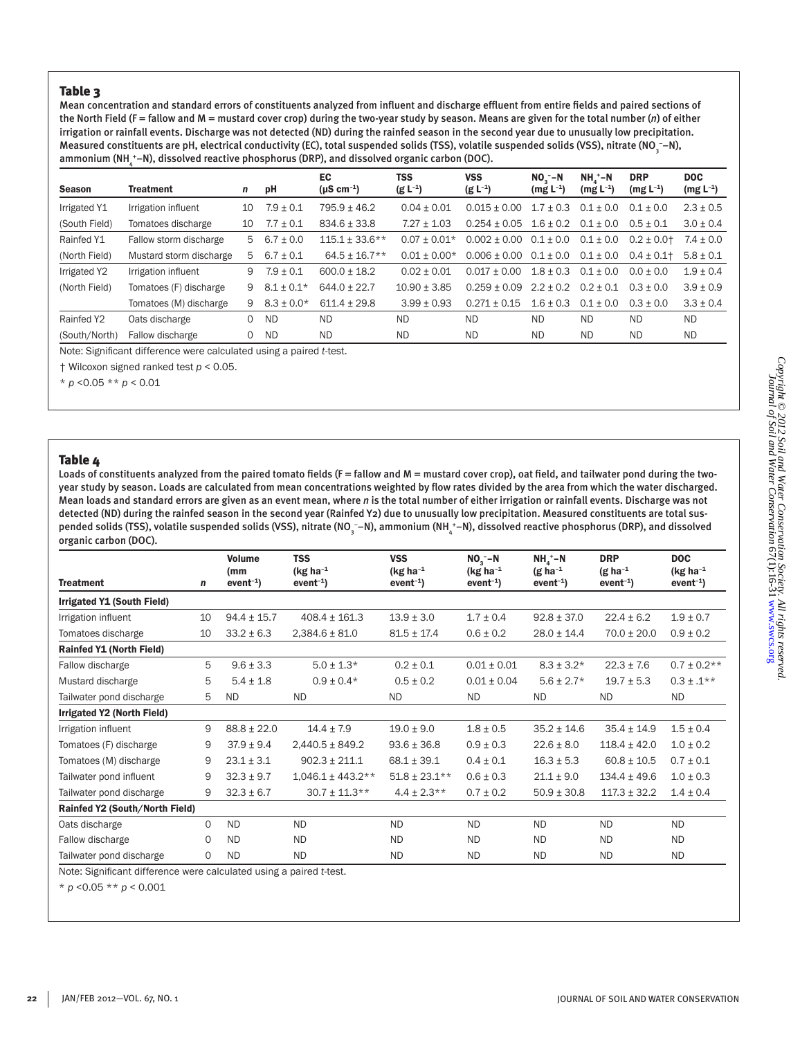Mean concentration and standard errors of constituents analyzed from influent and discharge effluent from entire fields and paired sections of the North Field (F = fallow and M = mustard cover crop) during the two-year study by season. Means are given for the total number (*n*) of either irrigation or rainfall events. Discharge was not detected (ND) during the rainfed season in the second year due to unusually low precipitation. Measured constituents are pH, electrical conductivity (EC), total suspended solids (TSS), volatile suspended solids (VSS), nitrate (NO¸−N), ammonium (NH  $_4^{\ast}$ –N), dissolved reactive phosphorus (DRP), and dissolved organic carbon (DOC).

| <b>Season</b> | <b>Treatment</b>        | n  | рH             | EC<br>$(\mu S \, cm^{-1})$ | <b>TSS</b><br>$(g L^{-1})$ | <b>VSS</b><br>$(g L^{-1})$ | $NO2 - N$<br>$(mg L^{-1})$ | $NH4 - N$<br>$(mg L^{-1})$ | <b>DRP</b><br>$(mg L^{-1})$ | <b>DOC</b><br>$(mg L^{-1})$ |
|---------------|-------------------------|----|----------------|----------------------------|----------------------------|----------------------------|----------------------------|----------------------------|-----------------------------|-----------------------------|
| Irrigated Y1  | Irrigation influent     | 10 | $7.9 \pm 0.1$  | $795.9 \pm 46.2$           | $0.04 \pm 0.01$            | $0.015 + 0.00$             | $1.7 \pm 0.3$              | $0.1 + 0.0$                | $0.1 + 0.0$                 | $2.3 \pm 0.5$               |
| (South Field) | Tomatoes discharge      | 10 | $7.7 \pm 0.1$  | $834.6 \pm 33.8$           | $7.27 \pm 1.03$            | $0.254 + 0.05$             | $1.6 + 0.2$                | $0.1 + 0.0$                | $0.5 + 0.1$                 | $3.0 \pm 0.4$               |
| Rainfed Y1    | Fallow storm discharge  | 5  | $6.7 \pm 0.0$  | $115.1 \pm 33.6$ **        | $0.07 + 0.01*$             | $0.002 \pm 0.00$           | $0.1 \pm 0.0$              | $0.1 \pm 0.0$              | $0.2 \pm 0.01$              | $7.4 \pm 0.0$               |
| (North Field) | Mustard storm discharge | 5  | $6.7 \pm 0.1$  | $64.5 \pm 16.7**$          | $0.01 + 0.00*$             | $0.006 \pm 0.00$           | $0.1 \pm 0.0$              | $0.1 \pm 0.0$              | $0.4 \pm 0.1$               | $5.8 \pm 0.1$               |
| Irrigated Y2  | Irrigation influent     | 9  | $7.9 \pm 0.1$  | $600.0 \pm 18.2$           | $0.02 + 0.01$              | $0.017 + 0.00$             | $1.8 + 0.3$                | $0.1 + 0.0$                | $0.0 + 0.0$                 | $1.9 \pm 0.4$               |
| (North Field) | Tomatoes (F) discharge  | 9  | $8.1 \pm 0.1*$ | $644.0 \pm 22.7$           | $10.90 \pm 3.85$           | $0.259 \pm 0.09$           | $2.2 \pm 0.2$              | $0.2 \pm 0.1$              | $0.3 + 0.0$                 | $3.9 \pm 0.9$               |
|               | Tomatoes (M) discharge  | 9  | $8.3 \pm 0.0*$ | $611.4 + 29.8$             | $3.99 \pm 0.93$            | $0.271 + 0.15$             | $1.6 + 0.3$                | $0.1 + 0.0$                | $0.3 + 0.0$                 | $3.3 \pm 0.4$               |
| Rainfed Y2    | Oats discharge          | 0  | <b>ND</b>      | <b>ND</b>                  | <b>ND</b>                  | <b>ND</b>                  | <b>ND</b>                  | <b>ND</b>                  | ND.                         | <b>ND</b>                   |
| (South/North) | Fallow discharge        | 0  | <b>ND</b>      | ND.                        | <b>ND</b>                  | <b>ND</b>                  | <b>ND</b>                  | <b>ND</b>                  | ND.                         | <b>ND</b>                   |

Note: Significant difference were calculated using a paired *t*-test.

† Wilcoxon signed ranked test *p* < 0.05.

\* *p* <0.05 \*\* *p* < 0.01

## Table 4

Loads of constituents analyzed from the paired tomato fields (F = fallow and M = mustard cover crop), oat field, and tailwater pond during the twoyear study by season. Loads are calculated from mean concentrations weighted by flow rates divided by the area from which the water discharged. Mean loads and standard errors are given as an event mean, where *n* is the total number of either irrigation or rainfall events. Discharge was not detected (ND) during the rainfed season in the second year (Rainfed Y2) due to unusually low precipitation. Measured constituents are total suspended solids (TSS), volatile suspended solids (VSS), nitrate (NO¸¯–N), ammonium (NH¸\*–N), dissolved reactive phosphorus (DRP), and dissolved organic carbon (DOC).

|                                |          | <b>Volume</b><br>(mm | <b>TSS</b><br>(kg ha $^{-1}$ | <b>VSS</b><br>(kg ha $^{-1}$ | $NO3 - N$<br>$(kg ha^{-1})$ | $NHa + Pl$<br>$(g ha^{-1})$ | <b>DRP</b><br>$(g ha^{-1})$ | <b>DOC</b><br>(kg ha $^{-1}$ |
|--------------------------------|----------|----------------------|------------------------------|------------------------------|-----------------------------|-----------------------------|-----------------------------|------------------------------|
| <b>Treatment</b>               | n        | $event-1)$           | $event-1)$                   | $event-1)$                   | $event-1)$                  | $event-1)$                  | $event-1)$                  | $event-1)$                   |
| Irrigated Y1 (South Field)     |          |                      |                              |                              |                             |                             |                             |                              |
| Irrigation influent            | 10       | $94.4 \pm 15.7$      | $408.4 \pm 161.3$            | $13.9 \pm 3.0$               | $1.7 \pm 0.4$               | $92.8 \pm 37.0$             | $22.4 \pm 6.2$              | $1.9 \pm 0.7$                |
| Tomatoes discharge             | 10       | $33.2 \pm 6.3$       | $2,384.6 \pm 81.0$           | $81.5 \pm 17.4$              | $0.6 \pm 0.2$               | $28.0 \pm 14.4$             | $70.0 \pm 20.0$             | $0.9 \pm 0.2$                |
| Rainfed Y1 (North Field)       |          |                      |                              |                              |                             |                             |                             |                              |
| Fallow discharge               | 5        | $9.6 \pm 3.3$        | $5.0 \pm 1.3*$               | $0.2 \pm 0.1$                | $0.01 \pm 0.01$             | $8.3 \pm 3.2*$              | $22.3 \pm 7.6$              | $0.7 \pm 0.2**$              |
| Mustard discharge              | 5        | $5.4 \pm 1.8$        | $0.9 \pm 0.4*$               | $0.5 \pm 0.2$                | $0.01 \pm 0.04$             | $5.6 \pm 2.7*$              | $19.7 \pm 5.3$              | $0.3 \pm .1**$               |
| Tailwater pond discharge       | 5        | <b>ND</b>            | ND.                          | <b>ND</b>                    | <b>ND</b>                   | ND                          | <b>ND</b>                   | <b>ND</b>                    |
| Irrigated Y2 (North Field)     |          |                      |                              |                              |                             |                             |                             |                              |
| Irrigation influent            | 9        | $88.8 \pm 22.0$      | $14.4 \pm 7.9$               | $19.0 \pm 9.0$               | $1.8 \pm 0.5$               | $35.2 \pm 14.6$             | $35.4 \pm 14.9$             | $1.5 \pm 0.4$                |
| Tomatoes (F) discharge         | 9        | $37.9 \pm 9.4$       | $2,440.5 \pm 849.2$          | $93.6 \pm 36.8$              | $0.9 \pm 0.3$               | $22.6 \pm 8.0$              | $118.4 \pm 42.0$            | $1.0 \pm 0.2$                |
| Tomatoes (M) discharge         | 9        | $23.1 \pm 3.1$       | $902.3 \pm 211.1$            | $68.1 \pm 39.1$              | $0.4 \pm 0.1$               | $16.3 \pm 5.3$              | $60.8 \pm 10.5$             | $0.7 \pm 0.1$                |
| Tailwater pond influent        | 9        | $32.3 \pm 9.7$       | $1,046.1 \pm 443.2**$        | $51.8 \pm 23.1***$           | $0.6 \pm 0.3$               | $21.1 \pm 9.0$              | $134.4 \pm 49.6$            | $1.0 \pm 0.3$                |
| Tailwater pond discharge       | 9        | $32.3 \pm 6.7$       | $30.7 \pm 11.3**$            | $4.4 \pm 2.3**$              | $0.7 \pm 0.2$               | $50.9 \pm 30.8$             | $117.3 \pm 32.2$            | $1.4 \pm 0.4$                |
| Rainfed Y2 (South/North Field) |          |                      |                              |                              |                             |                             |                             |                              |
| Oats discharge                 | $\Omega$ | <b>ND</b>            | <b>ND</b>                    | <b>ND</b>                    | <b>ND</b>                   | <b>ND</b>                   | <b>ND</b>                   | <b>ND</b>                    |
| Fallow discharge               | $\Omega$ | <b>ND</b>            | <b>ND</b>                    | <b>ND</b>                    | <b>ND</b>                   | ND                          | <b>ND</b>                   | <b>ND</b>                    |
| Tailwater pond discharge       | 0        | <b>ND</b>            | <b>ND</b>                    | <b>ND</b>                    | <b>ND</b>                   | <b>ND</b>                   | <b>ND</b>                   | <b>ND</b>                    |

Note: Significant difference were calculated using a paired *t*-test.

\* *p* <0.05 \*\* *p* < 0.001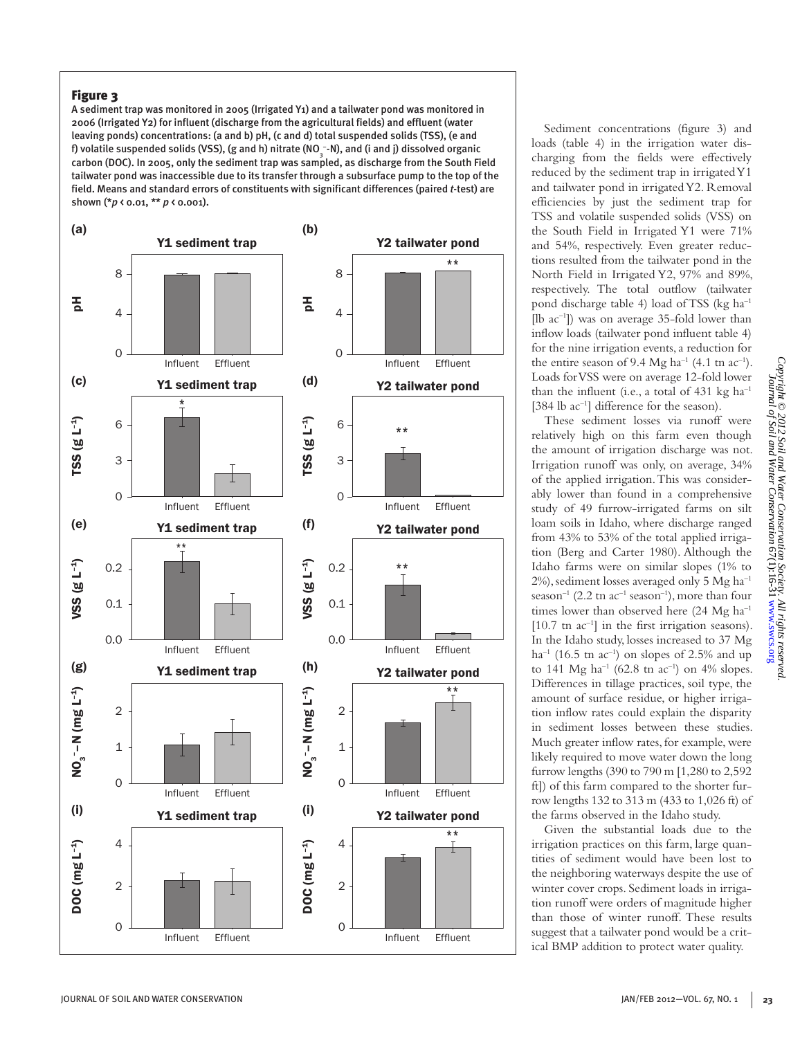A sediment trap was monitored in 2005 (Irrigated Y1) and a tailwater pond was monitored in 2006 (Irrigated Y2) for influent (discharge from the agricultural fields) and effluent (water leaving ponds) concentrations: (a and b) pH, (c and d) total suspended solids (TSS), (e and f) volatile suspended solids (VSS), (g and h) nitrate (NO¸¯-N), and (i and j) dissolved organic carbon (DOC). In 2005, only the sediment trap was sampled, as discharge from the South Field tailwater pond was inaccessible due to its transfer through a subsurface pump to the top of the field. Means and standard errors of constituents with significant differences (paired *t*-test) are shown (\**p* < 0.01, \*\* *p* < 0.001).



Sediment concentrations (figure 3) and loads (table 4) in the irrigation water discharging from the fields were effectively reduced by the sediment trap in irrigated Y1 and tailwater pond in irrigated Y2. Removal efficiencies by just the sediment trap for TSS and volatile suspended solids (VSS) on the South Field in Irrigated Y1 were 71% and 54%, respectively. Even greater reductions resulted from the tailwater pond in the North Field in Irrigated Y2, 97% and 89%, respectively. The total outflow (tailwater pond discharge table 4) load of TSS (kg ha–1 [lb  $ac^{-1}$ ]) was on average 35-fold lower than inflow loads (tailwater pond influent table 4) for the nine irrigation events, a reduction for the entire season of 9.4 Mg ha<sup>-1</sup> (4.1 tn ac<sup>-1</sup>). Loads for VSS were on average 12-fold lower than the influent (i.e., a total of  $431 \text{ kg h}a^{-1}$ [384 lb ac<sup>-1</sup>] difference for the season).

These sediment losses via runoff were relatively high on this farm even though the amount of irrigation discharge was not. Irrigation runoff was only, on average, 34% of the applied irrigation. This was considerably lower than found in a comprehensive study of 49 furrow-irrigated farms on silt loam soils in Idaho, where discharge ranged from 43% to 53% of the total applied irrigation (Berg and Carter 1980). Although the Idaho farms were on similar slopes (1% to 2%), sediment losses averaged only 5 Mg ha–1 season<sup>-1</sup> (2.2 tn  $ac^{-1}$  season<sup>-1</sup>), more than four times lower than observed here (24 Mg ha<sup>-1</sup>)  $[10.7 \text{ tr } ac^{-1}]$  in the first irrigation seasons). In the Idaho study, losses increased to 37 Mg ha<sup>-1</sup> (16.5 tn ac<sup>-1</sup>) on slopes of 2.5% and up to 141 Mg ha<sup>-1</sup> (62.8 tn ac<sup>-1</sup>) on 4% slopes. Differences in tillage practices, soil type, the amount of surface residue, or higher irrigation inflow rates could explain the disparity in sediment losses between these studies. Much greater inflow rates, for example, were likely required to move water down the long furrow lengths (390 to 790 m [1,280 to 2,592 ft]) of this farm compared to the shorter furrow lengths 132 to 313 m (433 to 1,026 ft) of the farms observed in the Idaho study.

Given the substantial loads due to the irrigation practices on this farm, large quantities of sediment would have been lost to the neighboring waterways despite the use of winter cover crops. Sediment loads in irrigation runoff were orders of magnitude higher than those of winter runoff. These results suggest that a tailwater pond would be a critical BMP addition to protect water quality.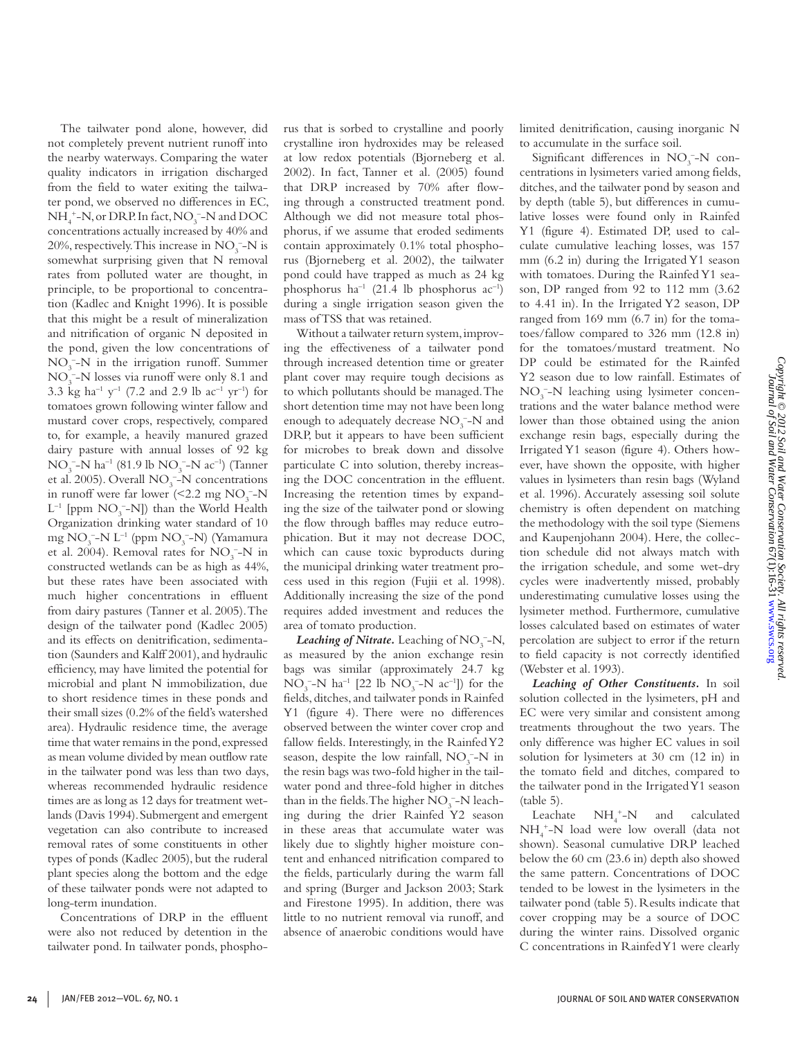The tailwater pond alone, however, did not completely prevent nutrient runoff into the nearby waterways. Comparing the water quality indicators in irrigation discharged from the field to water exiting the tailwater pond, we observed no differences in EC,  $NH_4^+$ –N, or DRP. In fact, NO<sub>3</sub><sup>–</sup>–N and DOC concentrations actually increased by 40% and 20%, respectively. This increase in  $NO<sub>3</sub><sup>-</sup>-N$  is somewhat surprising given that N removal rates from polluted water are thought, in principle, to be proportional to concentration (Kadlec and Knight 1996). It is possible that this might be a result of mineralization and nitrification of organic N deposited in the pond, given the low concentrations of  $NO<sub>3</sub><sup>-</sup>-N$  in the irrigation runoff. Summer NO<sub>3</sub><sup>-</sup>-N losses via runoff were only 8.1 and 3.3 kg ha<sup>-1</sup> y<sup>-1</sup> (7.2 and 2.9 lb ac<sup>-1</sup> yr<sup>-1</sup>) for tomatoes grown following winter fallow and mustard cover crops, respectively, compared to, for example, a heavily manured grazed dairy pasture with annual losses of 92 kg  $NO_3^-$ -N ha<sup>-1</sup> (81.9 lb  $NO_3^-$ -N ac<sup>-1</sup>) (Tanner et al. 2005). Overall  $NO<sub>3</sub><sup>-</sup>-N$  concentrations in runoff were far lower  $\left( \text{&} 2.2 \text{ mg NO}_3 \text{--}N \right)$  $L^{-1}$  [ppm  $NO_3^-$ -N]) than the World Health Organization drinking water standard of 10 mg NO<sub>3</sub><sup>-</sup>-N L<sup>-1</sup> (ppm NO<sub>3</sub><sup>-</sup>-N) (Yamamura et al. 2004). Removal rates for  $NO_3^-$ -N in constructed wetlands can be as high as 44%, but these rates have been associated with much higher concentrations in effluent from dairy pastures (Tanner et al. 2005). The design of the tailwater pond (Kadlec 2005) and its effects on denitrification, sedimentation (Saunders and Kalff 2001), and hydraulic efficiency, may have limited the potential for microbial and plant N immobilization, due to short residence times in these ponds and their small sizes (0.2% of the field's watershed area). Hydraulic residence time, the average time that water remains in the pond, expressed as mean volume divided by mean outflow rate in the tailwater pond was less than two days, whereas recommended hydraulic residence times are as long as 12 days for treatment wetlands (Davis 1994). Submergent and emergent vegetation can also contribute to increased removal rates of some constituents in other types of ponds (Kadlec 2005), but the ruderal plant species along the bottom and the edge of these tailwater ponds were not adapted to long-term inundation.

Concentrations of DRP in the effluent were also not reduced by detention in the tailwater pond. In tailwater ponds, phosphorus that is sorbed to crystalline and poorly crystalline iron hydroxides may be released at low redox potentials (Bjorneberg et al. 2002). In fact, Tanner et al. (2005) found that DRP increased by 70% after flowing through a constructed treatment pond. Although we did not measure total phosphorus, if we assume that eroded sediments contain approximately 0.1% total phosphorus (Bjorneberg et al. 2002), the tailwater pond could have trapped as much as 24 kg phosphorus ha<sup>-1</sup> (21.4 lb phosphorus ac<sup>-1</sup>) during a single irrigation season given the mass of TSS that was retained.

Without a tailwater return system, improving the effectiveness of a tailwater pond through increased detention time or greater plant cover may require tough decisions as to which pollutants should be managed. The short detention time may not have been long enough to adequately decrease  $NO<sub>3</sub><sup>-</sup>-N$  and DRP, but it appears to have been sufficient for microbes to break down and dissolve particulate C into solution, thereby increasing the DOC concentration in the effluent. Increasing the retention times by expanding the size of the tailwater pond or slowing the flow through baffles may reduce eutrophication. But it may not decrease DOC, which can cause toxic byproducts during the municipal drinking water treatment process used in this region (Fujii et al. 1998). Additionally increasing the size of the pond requires added investment and reduces the area of tomato production.

*Leaching of Nitrate.* Leaching of  $NO<sub>3</sub><sup>-</sup>-N$ , as measured by the anion exchange resin bags was similar (approximately 24.7 kg  $NO_3^-$ -N ha<sup>-1</sup> [22 lb  $NO_3^-$ -N ac<sup>-1</sup>]) for the fields, ditches, and tailwater ponds in Rainfed Y1 (figure 4). There were no differences observed between the winter cover crop and fallow fields. Interestingly, in the Rainfed Y2 season, despite the low rainfall,  $NO<sub>3</sub><sup>-</sup>-N$  in the resin bags was two-fold higher in the tailwater pond and three-fold higher in ditches than in the fields. The higher  $NO<sub>3</sub><sup>-</sup>-N$  leaching during the drier Rainfed Y2 season in these areas that accumulate water was likely due to slightly higher moisture content and enhanced nitrification compared to the fields, particularly during the warm fall and spring (Burger and Jackson 2003; Stark and Firestone 1995). In addition, there was little to no nutrient removal via runoff, and absence of anaerobic conditions would have

limited denitrification, causing inorganic N to accumulate in the surface soil.

Significant differences in  $NO<sub>3</sub><sup>-</sup>-N$  concentrations in lysimeters varied among fields, ditches, and the tailwater pond by season and by depth (table 5), but differences in cumulative losses were found only in Rainfed Y1 (figure 4). Estimated DP, used to calculate cumulative leaching losses, was 157 mm (6.2 in) during the Irrigated Y1 season with tomatoes. During the Rainfed Y1 season, DP ranged from 92 to 112 mm (3.62 to 4.41 in). In the Irrigated Y2 season, DP ranged from 169 mm (6.7 in) for the tomatoes/fallow compared to 326 mm (12.8 in) for the tomatoes/mustard treatment. No DP could be estimated for the Rainfed Y2 season due to low rainfall. Estimates of NO<sub>3</sub><sup>-</sup>N leaching using lysimeter concentrations and the water balance method were lower than those obtained using the anion exchange resin bags, especially during the Irrigated Y1 season (figure 4). Others however, have shown the opposite, with higher values in lysimeters than resin bags (Wyland et al. 1996). Accurately assessing soil solute chemistry is often dependent on matching the methodology with the soil type (Siemens and Kaupenjohann 2004). Here, the collection schedule did not always match with the irrigation schedule, and some wet-dry cycles were inadvertently missed, probably underestimating cumulative losses using the lysimeter method. Furthermore, cumulative losses calculated based on estimates of water percolation are subject to error if the return to field capacity is not correctly identified (Webster et al. 1993).

*Leaching of Other Constituents.* In soil solution collected in the lysimeters, pH and EC were very similar and consistent among treatments throughout the two years. The only difference was higher EC values in soil solution for lysimeters at 30 cm (12 in) in the tomato field and ditches, compared to the tailwater pond in the Irrigated Y1 season (table 5).

Leachate  $NH_{4}^{\,+}-N$  and calculated NH4 +-N load were low overall (data not shown). Seasonal cumulative DRP leached below the 60 cm (23.6 in) depth also showed the same pattern. Concentrations of DOC tended to be lowest in the lysimeters in the tailwater pond (table 5). Results indicate that cover cropping may be a source of DOC during the winter rains. Dissolved organic C concentrations in Rainfed Y1 were clearly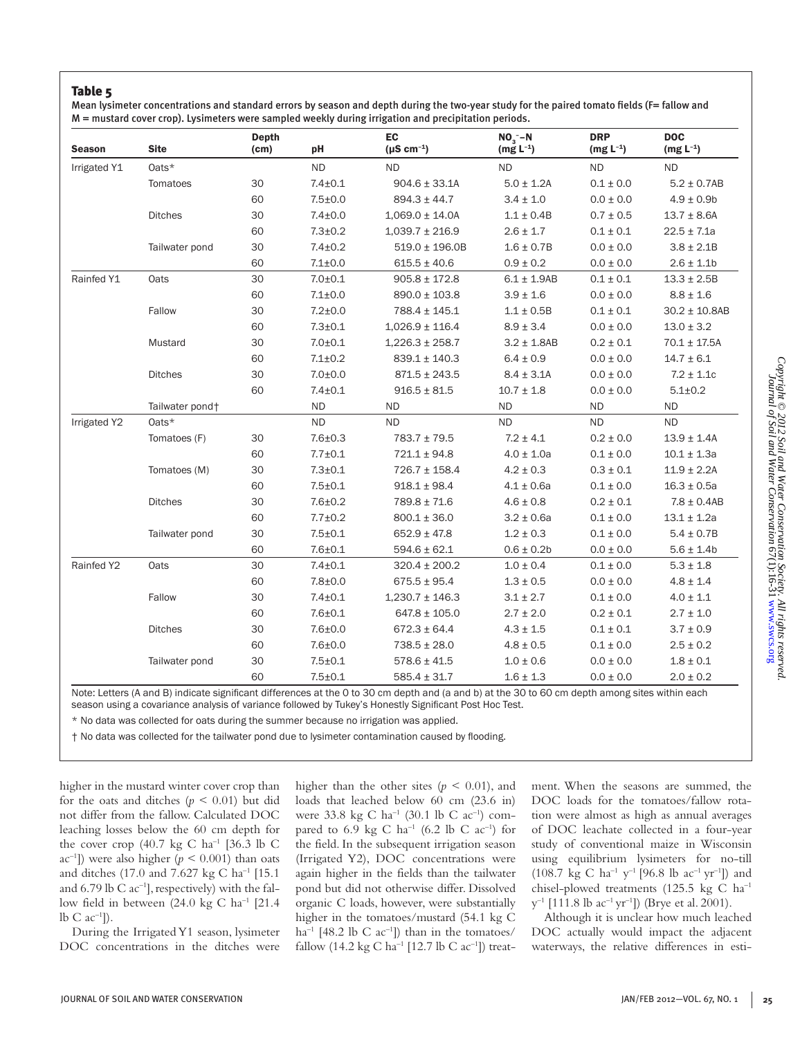Mean lysimeter concentrations and standard errors by season and depth during the two-year study for the paired tomato fields (F= fallow and M = mustard cover crop). Lysimeters were sampled weekly during irrigation and precipitation periods.

| <b>Season</b> | <b>Site</b>     | <b>Depth</b><br>(cm) | pH            | <b>EC</b><br>$(\mu S \text{ cm}^{-1})$ | $NO3 - N$<br>$(mg L^{-1})$ | <b>DRP</b><br>$(mg L^{-1})$ | <b>DOC</b><br>$(mg L^{-1})$ |
|---------------|-----------------|----------------------|---------------|----------------------------------------|----------------------------|-----------------------------|-----------------------------|
| Irrigated Y1  | Oats*           |                      | <b>ND</b>     | <b>ND</b>                              | <b>ND</b>                  | <b>ND</b>                   | <b>ND</b>                   |
|               | Tomatoes        | 30                   | $7.4 + 0.1$   | $904.6 \pm 33.1$ A                     | $5.0 \pm 1.2A$             | $0.1 \pm 0.0$               | $5.2 \pm 0.7AB$             |
|               |                 | 60                   | $7.5 + 0.0$   | $894.3 \pm 44.7$                       | $3.4 \pm 1.0$              | $0.0 \pm 0.0$               | $4.9 \pm 0.9$               |
|               | <b>Ditches</b>  | 30                   | $7.4 + 0.0$   | $1,069.0 \pm 14.0A$                    | $1.1 \pm 0.4B$             | $0.7 \pm 0.5$               | $13.7 \pm 8.6A$             |
|               |                 | 60                   | $7.3 + 0.2$   | $1,039.7 \pm 216.9$                    | $2.6 \pm 1.7$              | $0.1 \pm 0.1$               | $22.5 \pm 7.1a$             |
|               | Tailwater pond  | 30                   | $7.4 + 0.2$   | $519.0 \pm 196.0B$                     | $1.6 \pm 0.7B$             | $0.0 \pm 0.0$               | $3.8 \pm 2.1B$              |
|               |                 | 60                   | $7.1 + 0.0$   | $615.5 \pm 40.6$                       | $0.9 \pm 0.2$              | $0.0 \pm 0.0$               | $2.6 \pm 1.1$ b             |
| Rainfed Y1    | Oats            | 30                   | $7.0 + 0.1$   | $905.8 \pm 172.8$                      | $6.1 \pm 1.9AB$            | $0.1 \pm 0.1$               | $13.3 \pm 2.5B$             |
|               |                 | 60                   | $7.1 + 0.0$   | $890.0 \pm 103.8$                      | $3.9 \pm 1.6$              | $0.0\pm0.0$                 | $8.8 \pm 1.6$               |
|               | Fallow          | 30                   | $7.2 + 0.0$   | 788.4 ± 145.1                          | $1.1 \pm 0.5B$             | $0.1 \pm 0.1$               | $30.2 \pm 10.8AB$           |
|               |                 | 60                   | $7.3 + 0.1$   | $1,026.9 \pm 116.4$                    | $8.9 \pm 3.4$              | $0.0 \pm 0.0$               | $13.0 \pm 3.2$              |
|               | Mustard         | 30                   | $7.0 + 0.1$   | $1,226.3 \pm 258.7$                    | $3.2 \pm 1.8AB$            | $0.2\pm0.1$                 | $70.1 \pm 17.5A$            |
|               |                 | 60                   | $7.1 \pm 0.2$ | $839.1 \pm 140.3$                      | $6.4 \pm 0.9$              | $0.0 \pm 0.0$               | $14.7 \pm 6.1$              |
|               | <b>Ditches</b>  | 30                   | $7.0 + 0.0$   | $871.5 \pm 243.5$                      | $8.4 \pm 3.1$ A            | $0.0 \pm 0.0$               | $7.2 \pm 1.1c$              |
|               |                 | 60                   | $7.4 + 0.1$   | $916.5 \pm 81.5$                       | $10.7 \pm 1.8$             | $0.0\pm0.0$                 | $5.1 + 0.2$                 |
|               | Tailwater pond+ |                      | <b>ND</b>     | <b>ND</b>                              | <b>ND</b>                  | <b>ND</b>                   | <b>ND</b>                   |
| Irrigated Y2  | Oats*           |                      | <b>ND</b>     | <b>ND</b>                              | <b>ND</b>                  | <b>ND</b>                   | <b>ND</b>                   |
|               | Tomatoes (F)    | 30                   | $7.6 + 0.3$   | $783.7 \pm 79.5$                       | $7.2 \pm 4.1$              | $0.2 \pm 0.0$               | $13.9 \pm 1.4A$             |
|               |                 | 60                   | $7.7 + 0.1$   | $721.1 \pm 94.8$                       | $4.0 \pm 1.0a$             | $0.1 \pm 0.0$               | $10.1 \pm 1.3a$             |
|               | Tomatoes (M)    | 30                   | $7.3 + 0.1$   | $726.7 \pm 158.4$                      | $4.2 \pm 0.3$              | $0.3\pm0.1$                 | $11.9 \pm 2.2A$             |
|               |                 | 60                   | $7.5 + 0.1$   | $918.1 \pm 98.4$                       | $4.1 \pm 0.6a$             | $0.1 \pm 0.0$               | $16.3 \pm 0.5a$             |
|               | <b>Ditches</b>  | 30                   | $7.6 + 0.2$   | $789.8 \pm 71.6$                       | $4.6 \pm 0.8$              | $0.2 \pm 0.1$               | $7.8 \pm 0.4AB$             |
|               |                 | 60                   | $7.7 + 0.2$   | $800.1 \pm 36.0$                       | $3.2 \pm 0.6a$             | $0.1 \pm 0.0$               | $13.1 \pm 1.2a$             |
|               | Tailwater pond  | 30                   | $7.5 + 0.1$   | $652.9 \pm 47.8$                       | $1.2 \pm 0.3$              | $0.1 \pm 0.0$               | $5.4 \pm 0.7B$              |
|               |                 | 60                   | $7.6 + 0.1$   | $594.6 \pm 62.1$                       | $0.6 \pm 0.2b$             | $0.0 \pm 0.0$               | $5.6 \pm 1.4$ b             |
| Rainfed Y2    | Oats            | 30                   | $7.4 + 0.1$   | $320.4 \pm 200.2$                      | $1.0 \pm 0.4$              | $0.1 \pm 0.0$               | $5.3 \pm 1.8$               |
|               |                 | 60                   | $7.8 + 0.0$   | $675.5 \pm 95.4$                       | $1.3 \pm 0.5$              | $0.0 \pm 0.0$               | $4.8 \pm 1.4$               |
|               | Fallow          | 30                   | $7.4 + 0.1$   | $1,230.7 \pm 146.3$                    | $3.1 \pm 2.7$              | $0.1 \pm 0.0$               | $4.0 \pm 1.1$               |
|               |                 | 60                   | $7.6 + 0.1$   | $647.8 \pm 105.0$                      | $2.7 \pm 2.0$              | $0.2 \pm 0.1$               | $2.7 \pm 1.0$               |
|               | <b>Ditches</b>  | 30                   | $7.6 + 0.0$   | $672.3 \pm 64.4$                       | $4.3 \pm 1.5$              | $0.1 \pm 0.1$               | $3.7 \pm 0.9$               |
|               |                 | 60                   | $7.6 + 0.0$   | $738.5 \pm 28.0$                       | $4.8 \pm 0.5$              | $0.1 \pm 0.0$               | $2.5 \pm 0.2$               |
|               | Tailwater pond  | 30                   | $7.5 + 0.1$   | $578.6 \pm 41.5$                       | $1.0 \pm 0.6$              | $0.0 \pm 0.0$               | $1.8 \pm 0.1$               |
|               |                 | 60                   | $7.5 + 0.1$   | $585.4 \pm 31.7$                       | $1.6 \pm 1.3$              | $0.0 \pm 0.0$               | $2.0 \pm 0.2$               |

*Copyright © 2012 Soil and Water Conservation Society. All rights reserved.* [www.swcs.org](http://www.swcs.org) 67(1):16-31*Journal of Soil and Water Conservation*Copyright © 2012 Soil and Water Conservation Society. All rights reserved<br>Journal of Soil and Water Conservation 67(1):16-31 www.swcs.org

Note: Letters (A and B) indicate significant differences at the 0 to 30 cm depth and (a and b) at the 30 to 60 cm depth among sites within each season using a covariance analysis of variance followed by Tukey's Honestly Significant Post Hoc Test.

\* No data was collected for oats during the summer because no irrigation was applied.

† No data was collected for the tailwater pond due to lysimeter contamination caused by flooding.

higher in the mustard winter cover crop than for the oats and ditches  $(p < 0.01)$  but did not differ from the fallow. Calculated DOC leaching losses below the 60 cm depth for the cover crop (40.7 kg C ha<sup>-1</sup> [36.3 lb C ac<sup>-1</sup>]) were also higher ( $p < 0.001$ ) than oats and ditches (17.0 and 7.627 kg C ha–1 [15.1 and 6.79 lb C  $ac^{-1}$ ], respectively) with the fallow field in between  $(24.0 \text{ kg C ha}^{-1})$  [21.4] lb  $C$  ac<sup>-1</sup>]).

During the Irrigated Y1 season, lysimeter DOC concentrations in the ditches were

higher than the other sites  $(p < 0.01)$ , and loads that leached below 60 cm (23.6 in) were 33.8 kg C ha<sup>-1</sup> (30.1 lb C ac<sup>-1</sup>) compared to 6.9 kg C ha<sup>-1</sup> (6.2 lb C ac<sup>-1</sup>) for the field. In the subsequent irrigation season (Irrigated Y2), DOC concentrations were again higher in the fields than the tailwater pond but did not otherwise differ. Dissolved organic C loads, however, were substantially higher in the tomatoes/mustard (54.1 kg C ha<sup>-1</sup> [48.2 lb C ac<sup>-1</sup>]) than in the tomatoes/ fallow (14.2 kg C ha<sup>-1</sup> [12.7 lb C ac<sup>-1</sup>]) treat-

ment. When the seasons are summed, the DOC loads for the tomatoes/fallow rotation were almost as high as annual averages of DOC leachate collected in a four-year study of conventional maize in Wisconsin using equilibrium lysimeters for no-till (108.7 kg C ha<sup>-1</sup> y<sup>-1</sup> [96.8 lb ac<sup>-1</sup> yr<sup>-1</sup>]) and chisel-plowed treatments (125.5 kg C ha–1  $y^{-1}$  [111.8 lb ac<sup>-1</sup> yr<sup>-1</sup>]) (Brye et al. 2001).

Although it is unclear how much leached DOC actually would impact the adjacent waterways, the relative differences in esti-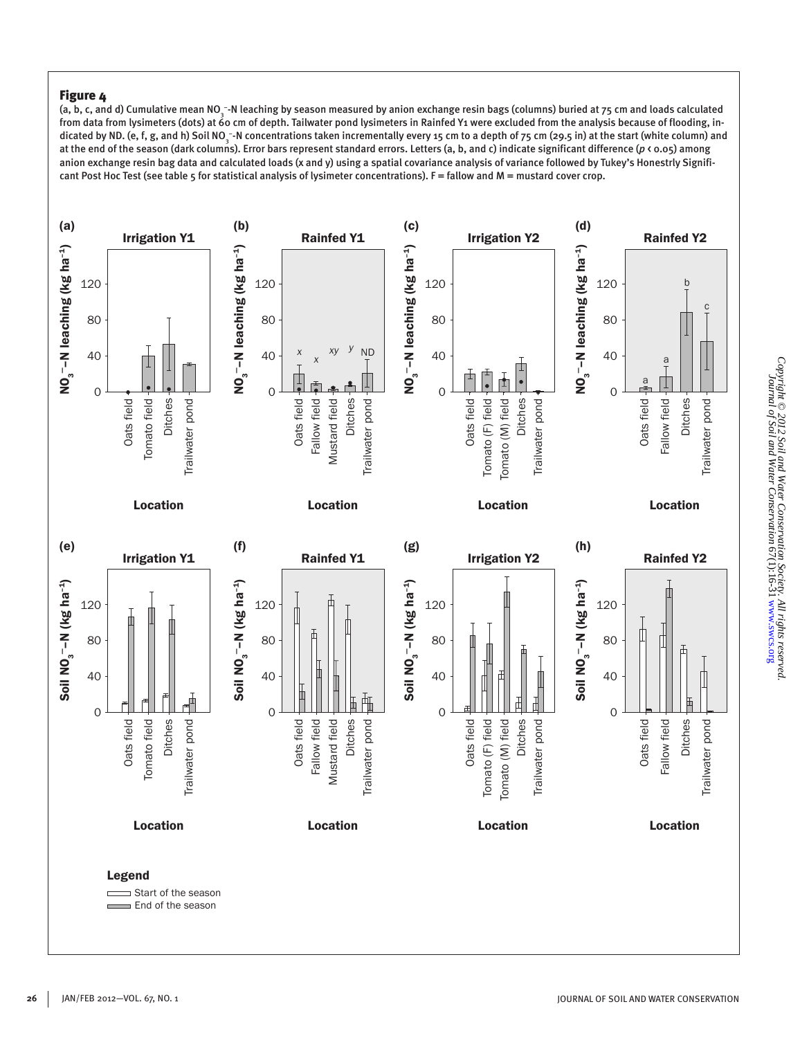(a, b, c, and d) Cumulative mean NO¸¯-N leaching by season measured by anion exchange resin bags (columns) buried at 75 cm and loads calculated from data from lysimeters (dots) at 60 cm of depth. Tailwater pond lysimeters in Rainfed Y1 were excluded from the analysis because of flooding, indicated by ND. (e, f, g, and h) Soil NO<sub>3</sub> -N concentrations taken incrementally every 15 cm to a depth of 75 cm (29.5 in) at the start (white column) and at the end of the season (dark columns). Error bars represent standard errors. Letters (a, b, and c) indicate significant difference (p  $\zeta$  0.05) among anion exchange resin bag data and calculated loads (x and y) using a spatial covariance analysis of variance followed by Tukey's Honestrly Significant Post Hoc Test (see table 5 for statistical analysis of lysimeter concentrations). F = fallow and M = mustard cover crop.

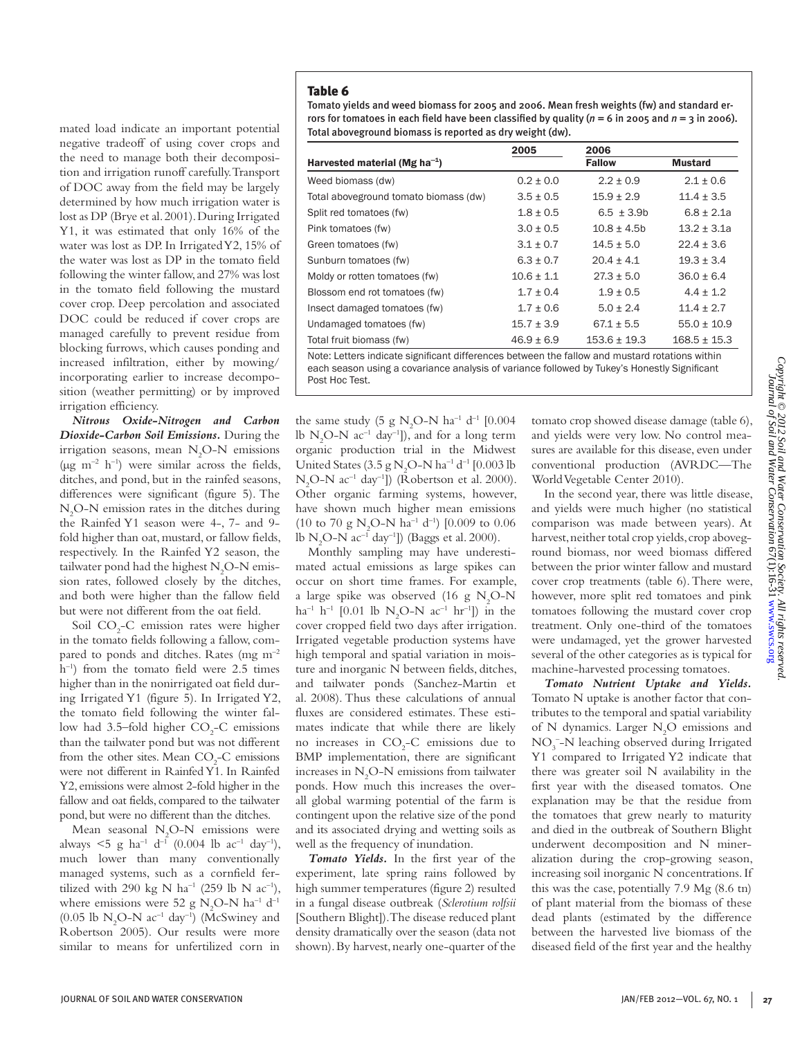Tomato yields and weed biomass for 2005 and 2006. Mean fresh weights (fw) and standard errors for tomatoes in each field have been classified by quality ( $n = 6$  in 2005 and  $n = 3$  in 2006). Total aboveground biomass is reported as dry weight (dw).

|                                                                                                | 2005           | 2006             |                  |
|------------------------------------------------------------------------------------------------|----------------|------------------|------------------|
| Harvested material (Mg ha <sup>-1</sup> )                                                      |                | <b>Fallow</b>    | <b>Mustard</b>   |
| Weed biomass (dw)                                                                              | $0.2 \pm 0.0$  | $2.2 \pm 0.9$    | $2.1 \pm 0.6$    |
| Total aboveground tomato biomass (dw)                                                          | $3.5 \pm 0.5$  | $15.9 \pm 2.9$   | $11.4 \pm 3.5$   |
| Split red tomatoes (fw)                                                                        | $1.8 \pm 0.5$  | $6.5 \pm 3.9b$   | $6.8 \pm 2.1a$   |
| Pink tomatoes (fw)                                                                             | $3.0 \pm 0.5$  | $10.8 \pm 4.5$ b | $13.2 \pm 3.1a$  |
| Green tomatoes (fw)                                                                            | $3.1 \pm 0.7$  | $14.5 \pm 5.0$   | $22.4 \pm 3.6$   |
| Sunburn tomatoes (fw)                                                                          | $6.3 \pm 0.7$  | $20.4 \pm 4.1$   | $19.3 \pm 3.4$   |
| Moldy or rotten tomatoes (fw)                                                                  | $10.6 \pm 1.1$ | $27.3 \pm 5.0$   | $36.0 + 6.4$     |
| Blossom end rot tomatoes (fw)                                                                  | $1.7 \pm 0.4$  | $1.9 + 0.5$      | $4.4 \pm 1.2$    |
| Insect damaged tomatoes (fw)                                                                   | $1.7 \pm 0.6$  | $5.0 \pm 2.4$    | $11.4 \pm 2.7$   |
| Undamaged tomatoes (fw)                                                                        | $15.7 \pm 3.9$ | $67.1 \pm 5.5$   | $55.0 \pm 10.9$  |
| Total fruit biomass (fw)                                                                       | $46.9 \pm 6.9$ | $153.6 \pm 19.3$ | $168.5 \pm 15.3$ |
| Note: Letters indicate significant differences between the fallow and mustard rotations within |                |                  |                  |

each season using a covariance analysis of variance followed by Tukey's Honestly Significant Post Hoc Test.

the same study (5 g  $N_2O-N$  ha<sup>-1</sup> d<sup>-1</sup> [0.004 lb  $N_2O-N$  ac<sup>-1</sup> day<sup>-1</sup>]), and for a long term organic production trial in the Midwest United States (3.5 g  $N_2O-N$  ha<sup>-1</sup> d<sup>-1</sup> [0.003 lb  $N_2O-N$  ac<sup>-1</sup> day<sup>-1</sup>]) (Robertson et al. 2000). Other organic farming systems, however, have shown much higher mean emissions (10 to 70 g  $N_2O-N$  ha<sup>-1</sup> d<sup>-1</sup>) [0.009 to 0.06 lb N<sub>2</sub>O-N ac<sup>-1</sup> day<sup>-1</sup>]) (Baggs et al. 2000).

Monthly sampling may have underestimated actual emissions as large spikes can occur on short time frames. For example, a large spike was observed (16 g  $N_2O-N$  $ha^{-1} h^{-1}$  [0.01 lb N<sub>2</sub>O-N  $ac^{-1} hr^{-1}$ ]) in the cover cropped field two days after irrigation. Irrigated vegetable production systems have high temporal and spatial variation in moisture and inorganic N between fields, ditches, and tailwater ponds (Sanchez-Martin et al. 2008). Thus these calculations of annual fluxes are considered estimates. These estimates indicate that while there are likely no increases in  $CO<sub>2</sub>-C$  emissions due to BMP implementation, there are significant increases in  $N_2$ O-N emissions from tailwater ponds. How much this increases the overall global warming potential of the farm is contingent upon the relative size of the pond and its associated drying and wetting soils as well as the frequency of inundation.

*Tomato Yields.* In the first year of the experiment, late spring rains followed by high summer temperatures (figure 2) resulted in a fungal disease outbreak (*Sclerotium rolfsii* [Southern Blight]). The disease reduced plant density dramatically over the season (data not shown). By harvest, nearly one-quarter of the tomato crop showed disease damage (table 6), and yields were very low. No control measures are available for this disease, even under conventional production (AVRDC—The World Vegetable Center 2010).

In the second year, there was little disease, and yields were much higher (no statistical comparison was made between years). At harvest, neither total crop yields, crop aboveground biomass, nor weed biomass differed between the prior winter fallow and mustard cover crop treatments (table 6). There were, however, more split red tomatoes and pink tomatoes following the mustard cover crop treatment. Only one-third of the tomatoes were undamaged, yet the grower harvested several of the other categories as is typical for machine-harvested processing tomatoes.

*Tomato Nutrient Uptake and Yields.*  Tomato N uptake is another factor that contributes to the temporal and spatial variability of N dynamics. Larger  $N_2O$  emissions and NO<sub>3</sub><sup>-</sup>-N leaching observed during Irrigated Y1 compared to Irrigated Y2 indicate that there was greater soil N availability in the first year with the diseased tomatos. One explanation may be that the residue from the tomatoes that grew nearly to maturity and died in the outbreak of Southern Blight underwent decomposition and N mineralization during the crop-growing season, increasing soil inorganic N concentrations. If this was the case, potentially 7.9 Mg (8.6 tn) of plant material from the biomass of these dead plants (estimated by the difference between the harvested live biomass of the diseased field of the first year and the healthy

mated load indicate an important potential negative tradeoff of using cover crops and the need to manage both their decomposition and irrigation runoff carefully. Transport of DOC away from the field may be largely determined by how much irrigation water is lost as DP (Brye et al. 2001). During Irrigated Y1, it was estimated that only 16% of the water was lost as DP. In Irrigated Y2, 15% of the water was lost as DP in the tomato field following the winter fallow, and 27% was lost in the tomato field following the mustard cover crop. Deep percolation and associated DOC could be reduced if cover crops are managed carefully to prevent residue from blocking furrows, which causes ponding and increased infiltration, either by mowing/ incorporating earlier to increase decomposition (weather permitting) or by improved irrigation efficiency.

*Nitrous Oxide-Nitrogen and Carbon Dioxide-Carbon Soil Emissions.* During the irrigation seasons, mean  $N_2O-N$  emissions ( $\mu$ g m<sup>-2</sup> h<sup>-1</sup>) were similar across the fields, ditches, and pond, but in the rainfed seasons, differences were significant (figure 5). The N2 O-N emission rates in the ditches during the Rainfed Y1 season were 4-, 7- and 9 fold higher than oat, mustard, or fallow fields, respectively. In the Rainfed Y2 season, the tailwater pond had the highest  $\rm N_2O\text{-}N$  emission rates, followed closely by the ditches, and both were higher than the fallow field but were not different from the oat field.

Soil  $CO<sub>2</sub>-C$  emission rates were higher in the tomato fields following a fallow, compared to ponds and ditches. Rates (mg m–2 h<sup>-1</sup>) from the tomato field were 2.5 times higher than in the nonirrigated oat field during Irrigated Y1 (figure 5). In Irrigated Y2, the tomato field following the winter fallow had 3.5–fold higher  $CO<sub>2</sub>$ -C emissions than the tailwater pond but was not different from the other sites. Mean  $CO<sub>2</sub>-C$  emissions were not different in Rainfed Y1. In Rainfed Y2, emissions were almost 2-fold higher in the fallow and oat fields, compared to the tailwater pond, but were no different than the ditches.

Mean seasonal  $N_2O-N$  emissions were always  $\leq 5$  g ha<sup>-1</sup> d<sup>-1</sup> (0.004 lb ac<sup>-1</sup> day<sup>-1</sup>), much lower than many conventionally managed systems, such as a cornfield fertilized with 290 kg N ha<sup>-1</sup> (259 lb N ac<sup>-1</sup>), where emissions were 52 g  $N_2O-N$  ha<sup>-1</sup> d<sup>-1</sup> (0.05 lb  $N_2O-N$  ac<sup>-1</sup> day<sup>-1</sup>) (McSwiney and Robertson 2005). Our results were more similar to means for unfertilized corn in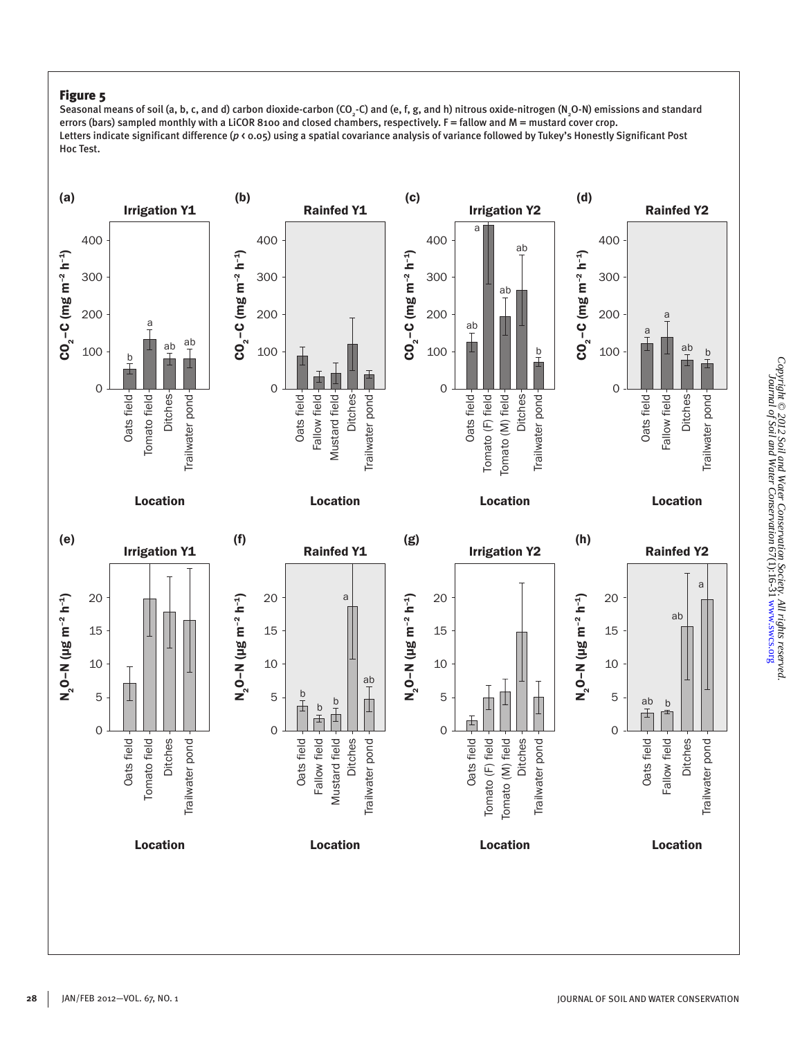Seasonal means of soil (a, b, c, and d) carbon dioxide-carbon (CO $\c,$ -C) and (e, f, g, and h) nitrous oxide-nitrogen (N $\c,$ O-N) emissions and standard errors (bars) sampled monthly with a LiCOR 8100 and closed chambers, respectively. F = fallow and M = mustard cover crop. Letters indicate significant difference (p < 0.05) using a spatial covariance analysis of variance followed by Tukey's Honestly Significant Post Hoc Test.

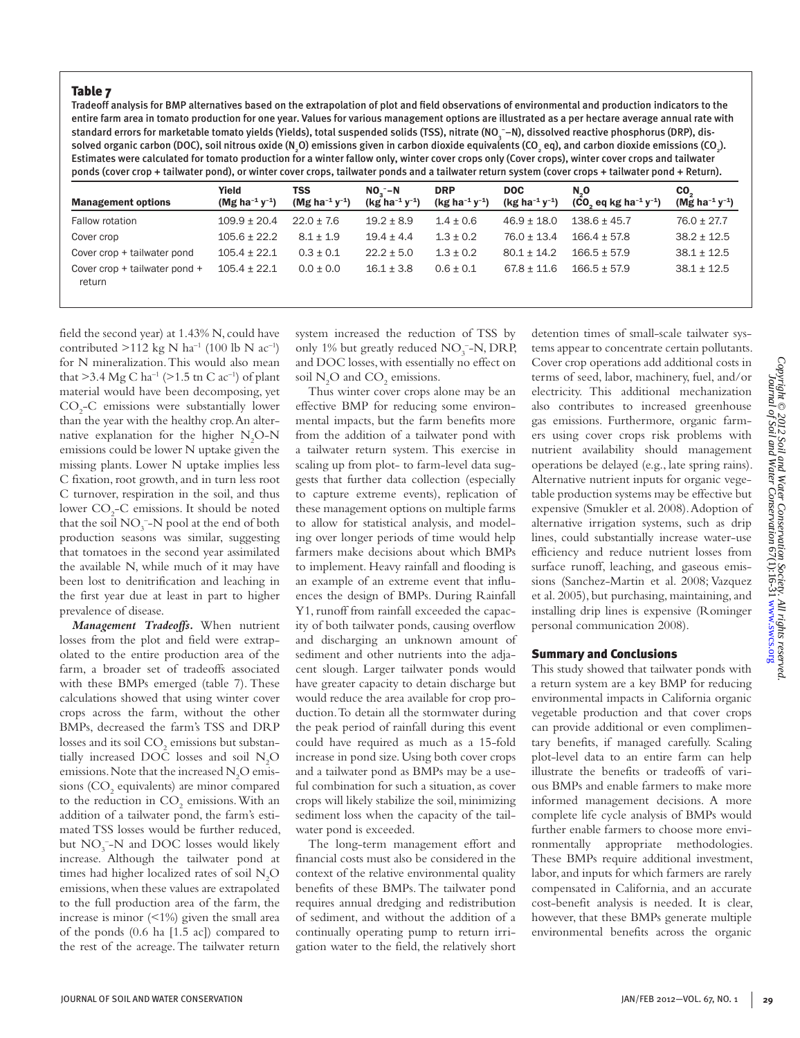Tradeoff analysis for BMP alternatives based on the extrapolation of plot and field observations of environmental and production indicators to the entire farm area in tomato production for one year. Values for various management options are illustrated as a per hectare average annual rate with standard errors for marketable tomato yields (Yields), total suspended solids (TSS), nitrate (NO<sub>3</sub> –N), dissolved reactive phosphorus (DRP), dissolved organic carbon (DOC), soil nitrous oxide (N¸O) emissions given in carbon dioxide equivalents (CO<sub>2</sub> eq), and carbon dioxide emissions (CO<sub>2</sub>). Estimates were calculated for tomato production for a winter fallow only, winter cover crops only (Cover crops), winter cover crops and tailwater ponds (cover crop + tailwater pond), or winter cover crops, tailwater ponds and a tailwater return system (cover crops + tailwater pond + Return).

| <b>Management options</b>               | Yield<br>(Mg ha <sup>-1</sup> y <sup>-1</sup> ) | TSS<br>(Mg ha <sup>-1</sup> y <sup>-1</sup> ) | $NOn - N$<br>$(kg ha^{-1}y^{-1})$ | <b>DRP</b><br>$(kg ha^{-1} y^{-1})$ | <b>DOC</b><br>$(kg ha^{-1} y^{-1})$ | $N_{2}$ O<br>$(CO, eq$ kg ha <sup>-1</sup> y <sup>-1</sup> ) | CO <sub>2</sub><br>(Mg ha <sup>-1</sup> y <sup>-1</sup> ) |
|-----------------------------------------|-------------------------------------------------|-----------------------------------------------|-----------------------------------|-------------------------------------|-------------------------------------|--------------------------------------------------------------|-----------------------------------------------------------|
| Fallow rotation                         | $109.9 \pm 20.4$                                | $22.0 + 7.6$                                  | $19.2 \pm 8.9$                    | $1.4 \pm 0.6$                       | $46.9 \pm 18.0$                     | $138.6 \pm 45.7$                                             | $76.0 \pm 27.7$                                           |
| Cover crop                              | $105.6 \pm 22.2$                                | $8.1 \pm 1.9$                                 | $19.4 \pm 4.4$                    | $1.3 \pm 0.2$                       | $76.0 \pm 13.4$                     | $166.4 + 57.8$                                               | $38.2 \pm 12.5$                                           |
| Cover crop + tailwater pond             | $105.4 \pm 22.1$                                | $0.3 \pm 0.1$                                 | $22.2 \pm 5.0$                    | $1.3 \pm 0.2$                       | $80.1 + 14.2$                       | $166.5 + 57.9$                                               | $38.1 \pm 12.5$                                           |
| Cover crop + tailwater pond +<br>return | $105.4 \pm 22.1$                                | $0.0 \pm 0.0$                                 | $16.1 \pm 3.8$                    | $0.6 \pm 0.1$                       | $67.8 + 11.6$                       | $166.5 + 57.9$                                               | $38.1 \pm 12.5$                                           |

field the second year) at 1.43% N, could have contributed  $>112$  kg N ha<sup>-1</sup> (100 lb N ac<sup>-1</sup>) for N mineralization. This would also mean that  $>3.4 \text{ Mg C} \text{ ha}^{-1}$  ( $>1.5 \text{ th C} \text{ ac}^{-1}$ ) of plant material would have been decomposing, yet CO2 -C emissions were substantially lower than the year with the healthy crop. An alternative explanation for the higher  $N_2O-N$ emissions could be lower N uptake given the missing plants. Lower N uptake implies less C fixation, root growth, and in turn less root C turnover, respiration in the soil, and thus lower CO<sub>2</sub>-C emissions. It should be noted that the soil  $NO_3^-$ -N pool at the end of both production seasons was similar, suggesting that tomatoes in the second year assimilated the available N, while much of it may have been lost to denitrification and leaching in the first year due at least in part to higher prevalence of disease.

*Management Tradeoffs.* When nutrient losses from the plot and field were extrapolated to the entire production area of the farm, a broader set of tradeoffs associated with these BMPs emerged (table 7). These calculations showed that using winter cover crops across the farm, without the other BMPs, decreased the farm's TSS and DRP losses and its soil  $\mathrm{CO}_2$  emissions but substantially increased DOC losses and soil  $N_2O$ emissions. Note that the increased  $N_2O$  emissions  $(CO<sub>2</sub>$  equivalents) are minor compared to the reduction in  $\mathrm{CO}_2$  emissions. With an addition of a tailwater pond, the farm's estimated TSS losses would be further reduced, but  $NO_3^-$ -N and DOC losses would likely increase. Although the tailwater pond at times had higher localized rates of soil  $N_2O$ emissions, when these values are extrapolated to the full production area of the farm, the increase is minor (<1%) given the small area of the ponds (0.6 ha [1.5 ac]) compared to the rest of the acreage. The tailwater return

system increased the reduction of TSS by only 1% but greatly reduced  $NO<sub>3</sub><sup>-</sup>-N, DRP,$ and DOC losses, with essentially no effect on soil  $N_2O$  and  $CO_2$  emissions.

Thus winter cover crops alone may be an effective BMP for reducing some environmental impacts, but the farm benefits more from the addition of a tailwater pond with a tailwater return system. This exercise in scaling up from plot- to farm-level data suggests that further data collection (especially to capture extreme events), replication of these management options on multiple farms to allow for statistical analysis, and modeling over longer periods of time would help farmers make decisions about which BMPs to implement. Heavy rainfall and flooding is an example of an extreme event that influences the design of BMPs. During Rainfall Y1, runoff from rainfall exceeded the capacity of both tailwater ponds, causing overflow and discharging an unknown amount of sediment and other nutrients into the adjacent slough. Larger tailwater ponds would have greater capacity to detain discharge but would reduce the area available for crop production. To detain all the stormwater during the peak period of rainfall during this event could have required as much as a 15-fold increase in pond size. Using both cover crops and a tailwater pond as BMPs may be a useful combination for such a situation, as cover crops will likely stabilize the soil, minimizing sediment loss when the capacity of the tailwater pond is exceeded.

The long-term management effort and financial costs must also be considered in the context of the relative environmental quality benefits of these BMPs. The tailwater pond requires annual dredging and redistribution of sediment, and without the addition of a continually operating pump to return irrigation water to the field, the relatively short

detention times of small-scale tailwater systems appear to concentrate certain pollutants. Cover crop operations add additional costs in terms of seed, labor, machinery, fuel, and/or electricity. This additional mechanization also contributes to increased greenhouse gas emissions. Furthermore, organic farmers using cover crops risk problems with nutrient availability should management operations be delayed (e.g., late spring rains). Alternative nutrient inputs for organic vegetable production systems may be effective but expensive (Smukler et al. 2008). Adoption of alternative irrigation systems, such as drip lines, could substantially increase water-use efficiency and reduce nutrient losses from surface runoff, leaching, and gaseous emissions (Sanchez-Martin et al. 2008; Vazquez et al. 2005), but purchasing, maintaining, and installing drip lines is expensive (Rominger personal communication 2008).

#### Summary and Conclusions

This study showed that tailwater ponds with a return system are a key BMP for reducing environmental impacts in California organic vegetable production and that cover crops can provide additional or even complimentary benefits, if managed carefully. Scaling plot-level data to an entire farm can help illustrate the benefits or tradeoffs of various BMPs and enable farmers to make more informed management decisions. A more complete life cycle analysis of BMPs would further enable farmers to choose more environmentally appropriate methodologies. These BMPs require additional investment, labor, and inputs for which farmers are rarely compensated in California, and an accurate cost-benefit analysis is needed. It is clear, however, that these BMPs generate multiple environmental benefits across the organic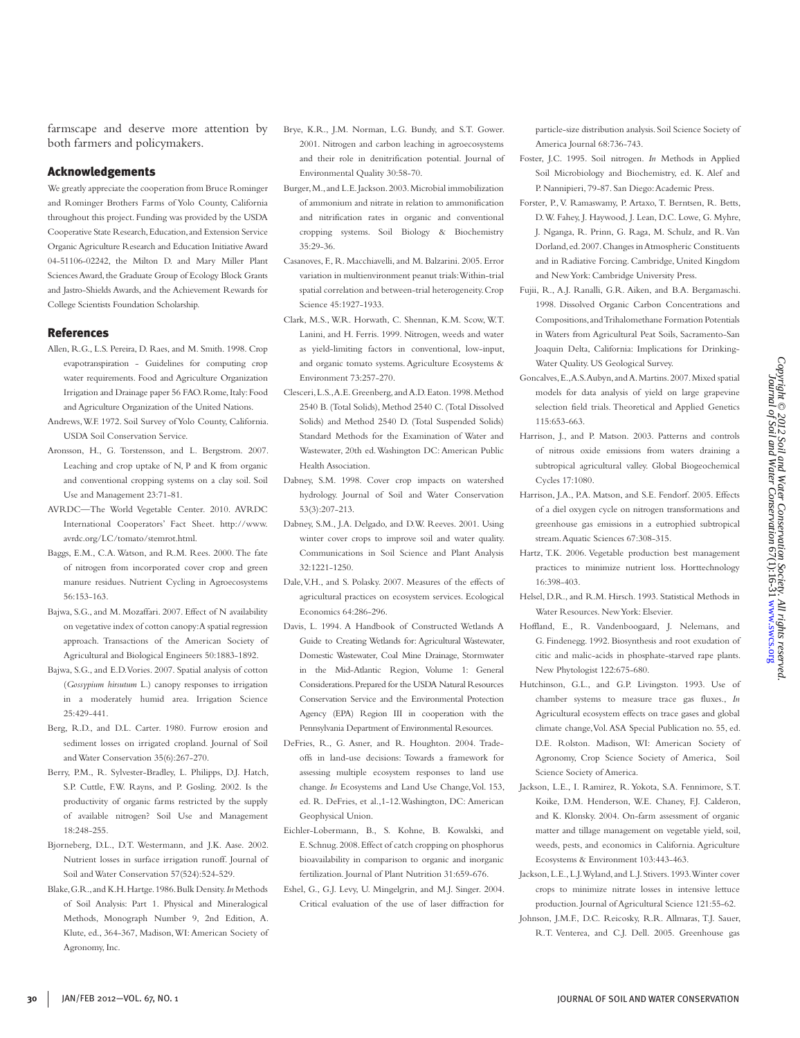farmscape and deserve more attention by both farmers and policymakers.

#### Acknowledgements

We greatly appreciate the cooperation from Bruce Rominger and Rominger Brothers Farms of Yolo County, California throughout this project. Funding was provided by the USDA Cooperative State Research, Education, and Extension Service Organic Agriculture Research and Education Initiative Award 04-51106-02242, the Milton D. and Mary Miller Plant Sciences Award, the Graduate Group of Ecology Block Grants and Jastro-Shields Awards, and the Achievement Rewards for College Scientists Foundation Scholarship.

#### References

- Allen, R.G., L.S. Pereira, D. Raes, and M. Smith. 1998. Crop evapotranspiration - Guidelines for computing crop water requirements. Food and Agriculture Organization Irrigation and Drainage paper 56 FAO. Rome, Italy: Food and Agriculture Organization of the United Nations.
- Andrews, W.F. 1972. Soil Survey of Yolo County, California. USDA Soil Conservation Service.
- Aronsson, H., G. Torstensson, and L. Bergstrom. 2007. Leaching and crop uptake of N, P and K from organic and conventional cropping systems on a clay soil. Soil Use and Management 23:71-81.
- AVRDC—The World Vegetable Center. 2010. AVRDC International Cooperators' Fact Sheet. http://www. avrdc.org/LC/tomato/stemrot.html.
- Baggs, E.M., C.A. Watson, and R.M. Rees. 2000. The fate of nitrogen from incorporated cover crop and green manure residues. Nutrient Cycling in Agroecosystems 56:153-163.
- Bajwa, S.G., and M. Mozaffari. 2007. Effect of N availability on vegetative index of cotton canopy: A spatial regression approach. Transactions of the American Society of Agricultural and Biological Engineers 50:1883-1892.
- Bajwa, S.G., and E.D. Vories. 2007. Spatial analysis of cotton (*Gossypium hirsutum* L.) canopy responses to irrigation in a moderately humid area. Irrigation Science 25:429-441.
- Berg, R.D., and D.L. Carter. 1980. Furrow erosion and sediment losses on irrigated cropland. Journal of Soil and Water Conservation 35(6):267-270.
- Berry, P.M., R. Sylvester-Bradley, L. Philipps, D.J. Hatch, S.P. Cuttle, F.W. Rayns, and P. Gosling. 2002. Is the productivity of organic farms restricted by the supply of available nitrogen? Soil Use and Management 18:248-255.
- Bjorneberg, D.L., D.T. Westermann, and J.K. Aase. 2002. Nutrient losses in surface irrigation runoff. Journal of Soil and Water Conservation 57(524):524-529.
- Blake, G.R., and K.H. Hartge. 1986. Bulk Density. *In* Methods of Soil Analysis: Part 1. Physical and Mineralogical Methods, Monograph Number 9, 2nd Edition, A. Klute, ed., 364-367, Madison, WI: American Society of Agronomy, Inc.
- Brye, K.R., J.M. Norman, L.G. Bundy, and S.T. Gower. 2001. Nitrogen and carbon leaching in agroecosystems and their role in denitrification potential. Journal of Environmental Quality 30:58-70.
- Burger, M., and L.E. Jackson. 2003. Microbial immobilization of ammonium and nitrate in relation to ammonification and nitrification rates in organic and conventional cropping systems. Soil Biology & Biochemistry 35:29-36.
- Casanoves, F., R. Macchiavelli, and M. Balzarini. 2005. Error variation in multienvironment peanut trials: Within-trial spatial correlation and between-trial heterogeneity. Crop Science 45:1927-1933.
- Clark, M.S., W.R. Horwath, C. Shennan, K.M. Scow, W.T. Lanini, and H. Ferris. 1999. Nitrogen, weeds and water as yield-limiting factors in conventional, low-input, and organic tomato systems. Agriculture Ecosystems & Environment 73:257-270.
- Clesceri, L.S., A.E. Greenberg, and A.D. Eaton. 1998. Method 2540 B. (Total Solids), Method 2540 C. (Total Dissolved Solids) and Method 2540 D. (Total Suspended Solids) Standard Methods for the Examination of Water and Wastewater, 20th ed. Washington DC: American Public Health Association.
- Dabney, S.M. 1998. Cover crop impacts on watershed hydrology. Journal of Soil and Water Conservation 53(3):207-213.
- Dabney, S.M., J.A. Delgado, and D.W. Reeves. 2001. Using winter cover crops to improve soil and water quality. Communications in Soil Science and Plant Analysis 32:1221-1250.
- Dale, V.H., and S. Polasky. 2007. Measures of the effects of agricultural practices on ecosystem services. Ecological Economics 64:286-296.
- Davis, L. 1994. A Handbook of Constructed Wetlands A Guide to Creating Wetlands for: Agricultural Wastewater, Domestic Wastewater, Coal Mine Drainage, Stormwater in the Mid-Atlantic Region, Volume 1: General Considerations. Prepared for the USDA Natural Resources Conservation Service and the Environmental Protection Agency (EPA) Region III in cooperation with the Pennsylvania Department of Environmental Resources.
- DeFries, R., G. Asner, and R. Houghton. 2004. Tradeoffs in land-use decisions: Towards a framework for assessing multiple ecosystem responses to land use change. *In* Ecosystems and Land Use Change, Vol. 153, ed. R. DeFries, et al.,1-12.Washington, DC: American Geophysical Union.
- Eichler-Lobermann, B., S. Kohne, B. Kowalski, and E. Schnug. 2008. Effect of catch cropping on phosphorus bioavailability in comparison to organic and inorganic fertilization. Journal of Plant Nutrition 31:659-676.
- Eshel, G., G.J. Levy, U. Mingelgrin, and M.J. Singer. 2004. Critical evaluation of the use of laser diffraction for

particle-size distribution analysis. Soil Science Society of America Journal 68:736-743.

- Foster, J.C. 1995. Soil nitrogen. *In* Methods in Applied Soil Microbiology and Biochemistry, ed. K. Alef and P. Nannipieri, 79-87. San Diego: Academic Press.
- Forster, P., V. Ramaswamy, P. Artaxo, T. Berntsen, R. Betts, D. W. Fahey, J. Haywood, J. Lean, D.C. Lowe, G. Myhre, J. Nganga, R. Prinn, G. Raga, M. Schulz, and R. Van Dorland, ed. 2007. Changes in Atmospheric Constituents and in Radiative Forcing. Cambridge, United Kingdom and New York: Cambridge University Press.
- Fujii, R., A.J. Ranalli, G.R. Aiken, and B.A. Bergamaschi. 1998. Dissolved Organic Carbon Concentrations and Compositions, and Trihalomethane Formation Potentials in Waters from Agricultural Peat Soils, Sacramento-San Joaquin Delta, California: Implications for Drinking-Water Quality. US Geological Survey.
- Goncalves, E., A.S. Aubyn, and A. Martins. 2007. Mixed spatial models for data analysis of yield on large grapevine selection field trials. Theoretical and Applied Genetics 115:653-663.
- Harrison, J., and P. Matson. 2003. Patterns and controls of nitrous oxide emissions from waters draining a subtropical agricultural valley. Global Biogeochemical Cycles 17:1080.
- Harrison, J.A., P.A. Matson, and S.E. Fendorf. 2005. Effects of a diel oxygen cycle on nitrogen transformations and greenhouse gas emissions in a eutrophied subtropical stream. Aquatic Sciences 67:308-315.
- Hartz, T.K. 2006. Vegetable production best management practices to minimize nutrient loss. Horttechnology 16:398-403.
- Helsel, D.R., and R.M. Hirsch. 1993. Statistical Methods in Water Resources. New York: Elsevier.
- Hoffland, E., R. Vandenboogaard, J. Nelemans, and G. Findenegg. 1992. Biosynthesis and root exudation of citic and malic-acids in phosphate-starved rape plants. New Phytologist 122:675-680.
- Hutchinson, G.L., and G.P. Livingston. 1993. Use of chamber systems to measure trace gas fluxes., *In* Agricultural ecosystem effects on trace gases and global climate change, Vol. ASA Special Publication no. 55, ed. D.E. Rolston. Madison, WI: American Society of Agronomy, Crop Science Society of America, Soil Science Society of America.
- Jackson, L.E., I. Ramirez, R. Yokota, S.A. Fennimore, S.T. Koike, D.M. Henderson, W.E. Chaney, F.J. Calderon, and K. Klonsky. 2004. On-farm assessment of organic matter and tillage management on vegetable yield, soil, weeds, pests, and economics in California. Agriculture Ecosystems & Environment 103:443-463.
- Jackson, L.E., L.J. Wyland, and L.J. Stivers. 1993. Winter cover crops to minimize nitrate losses in intensive lettuce production. Journal of Agricultural Science 121:55-62.
- Johnson, J.M.F., D.C. Reicosky, R.R. Allmaras, T.J. Sauer, R.T. Venterea, and C.J. Dell. 2005. Greenhouse gas